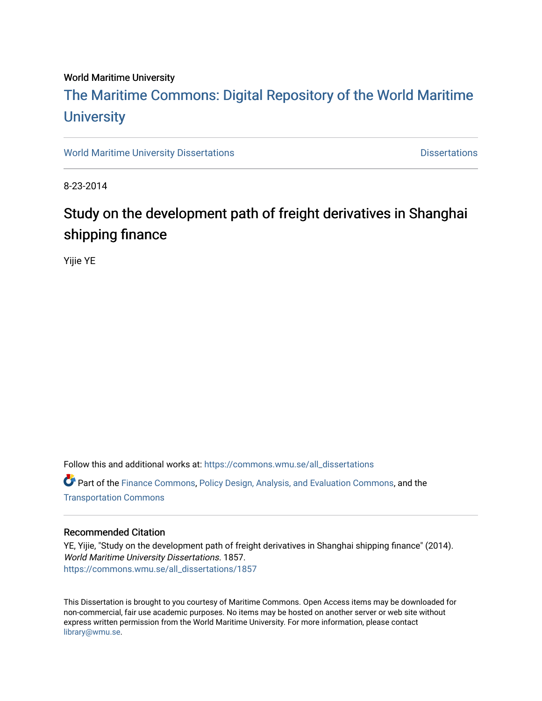# World Maritime University

# [The Maritime Commons: Digital Repository of the World Maritime](https://commons.wmu.se/)  **University**

[World Maritime University Dissertations](https://commons.wmu.se/all_dissertations) **Distributions** [Dissertations](https://commons.wmu.se/dissertations) Dissertations

8-23-2014

# Study on the development path of freight derivatives in Shanghai shipping finance

Yijie YE

Follow this and additional works at: [https://commons.wmu.se/all\\_dissertations](https://commons.wmu.se/all_dissertations?utm_source=commons.wmu.se%2Fall_dissertations%2F1857&utm_medium=PDF&utm_campaign=PDFCoverPages) 

Part of the [Finance Commons,](http://network.bepress.com/hgg/discipline/345?utm_source=commons.wmu.se%2Fall_dissertations%2F1857&utm_medium=PDF&utm_campaign=PDFCoverPages) [Policy Design, Analysis, and Evaluation Commons](http://network.bepress.com/hgg/discipline/1032?utm_source=commons.wmu.se%2Fall_dissertations%2F1857&utm_medium=PDF&utm_campaign=PDFCoverPages), and the [Transportation Commons](http://network.bepress.com/hgg/discipline/1068?utm_source=commons.wmu.se%2Fall_dissertations%2F1857&utm_medium=PDF&utm_campaign=PDFCoverPages) 

#### Recommended Citation

YE, Yijie, "Study on the development path of freight derivatives in Shanghai shipping finance" (2014). World Maritime University Dissertations. 1857. [https://commons.wmu.se/all\\_dissertations/1857](https://commons.wmu.se/all_dissertations/1857?utm_source=commons.wmu.se%2Fall_dissertations%2F1857&utm_medium=PDF&utm_campaign=PDFCoverPages)

This Dissertation is brought to you courtesy of Maritime Commons. Open Access items may be downloaded for non-commercial, fair use academic purposes. No items may be hosted on another server or web site without express written permission from the World Maritime University. For more information, please contact [library@wmu.se](mailto:library@wmu.edu).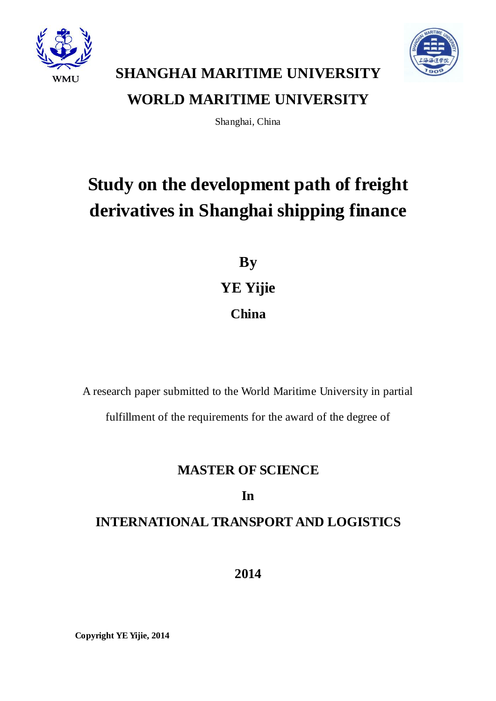



# **SHANGHAI MARITIME UNIVERSITY WORLD MARITIME UNIVERSITY**

Shanghai, China

# **Study on the development path of freight derivatives in Shanghai shipping finance**

**By YE Yijie China**

A research paper submitted to the World Maritime University in partial fulfillment of the requirements for the award of the degree of

# **MASTER OF SCIENCE**

# **In**

# **INTERNATIONAL TRANSPORT AND LOGISTICS**

**2014**

**Copyright YE Yijie, 2014**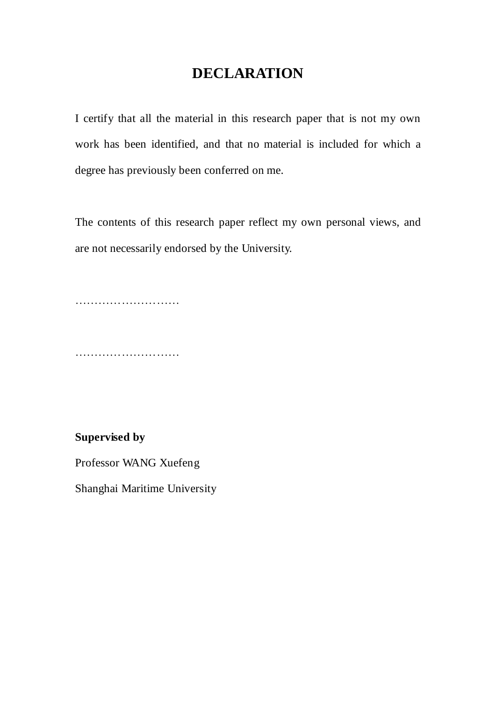# **DECLARATION**

I certify that all the material in this research paper that is not my own work has been identified, and that no material is included for which a degree has previously been conferred on me.

The contents of this research paper reflect my own personal views, and are not necessarily endorsed by the University.

……………………………

………………………

**Supervised by**

Professor WANG Xuefeng

Shanghai Maritime University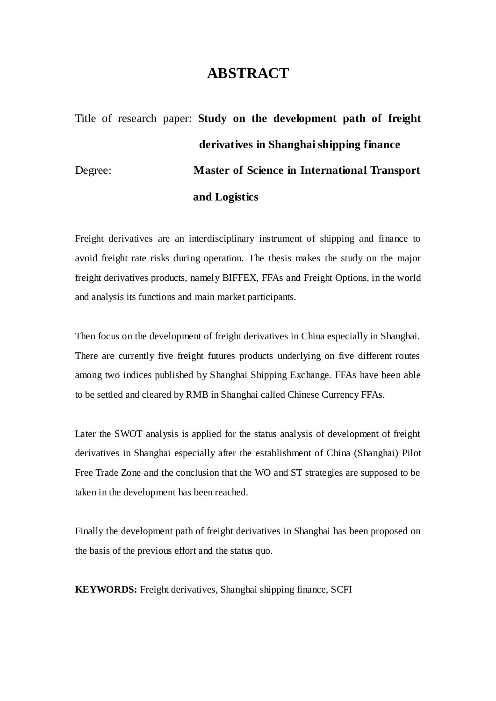# **ABSTRACT**

# Title of research paper: **Study on the development path of freight derivatives in Shanghai shipping finance** Degree: **Master of Science in International Transport and Logistics**

Freight derivatives are an interdisciplinary instrument of shipping and finance to avoid freight rate risks during operation. The thesis makes the study on the major freight derivatives products, namely BIFFEX, FFAs and Freight Options, in the world and analysis its functions and main market participants.

Then focus on the development of freight derivatives in China especially in Shanghai. There are currently five freight futures products underlying on five different routes among two indices published by Shanghai Shipping Exchange. FFAs have been able to be settled and cleared by RMB in Shanghai called Chinese Currency FFAs.

Later the SWOT analysis is applied for the status analysis of development of freight derivatives in Shanghai especially after the establishment of China (Shanghai) Pilot Free Trade Zone and the conclusion that the WO and ST strategies are supposed to be taken in the development has been reached.

Finally the development path of freight derivatives in Shanghai has been proposed on the basis of the previous effort and the status quo.

**KEYWORDS:** Freight derivatives, Shanghai shipping finance, SCFI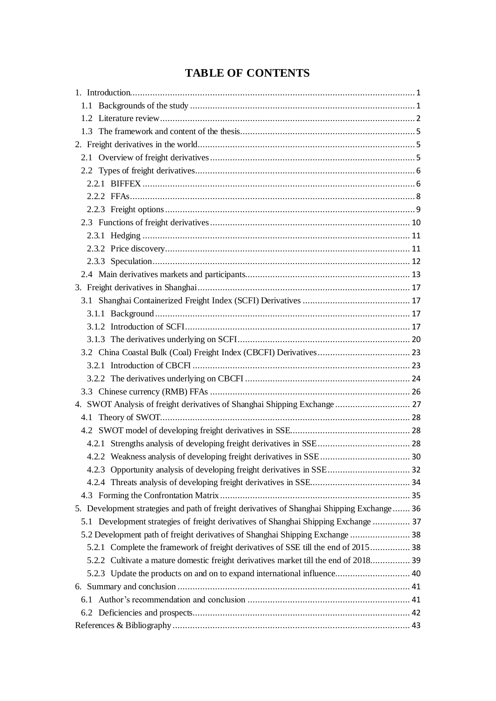# **TABLE OF CONTENTS**

| 4. SWOT Analysis of freight derivatives of Shanghai Shipping Exchange  27                  |  |
|--------------------------------------------------------------------------------------------|--|
|                                                                                            |  |
|                                                                                            |  |
|                                                                                            |  |
|                                                                                            |  |
| 4.2.3 Opportunity analysis of developing freight derivatives in SSE 32                     |  |
|                                                                                            |  |
|                                                                                            |  |
| 5. Development strategies and path of freight derivatives of Shanghai Shipping Exchange 36 |  |
| 5.1 Development strategies of freight derivatives of Shanghai Shipping Exchange  37        |  |
| 5.2 Development path of freight derivatives of Shanghai Shipping Exchange  38              |  |
| 5.2.1 Complete the framework of freight derivatives of SSE till the end of 2015 38         |  |
| 5.2.2 Cultivate a mature domestic freight derivatives market till the end of 2018 39       |  |
| 5.2.3 Update the products on and on to expand international influence 40                   |  |
|                                                                                            |  |
|                                                                                            |  |
|                                                                                            |  |
|                                                                                            |  |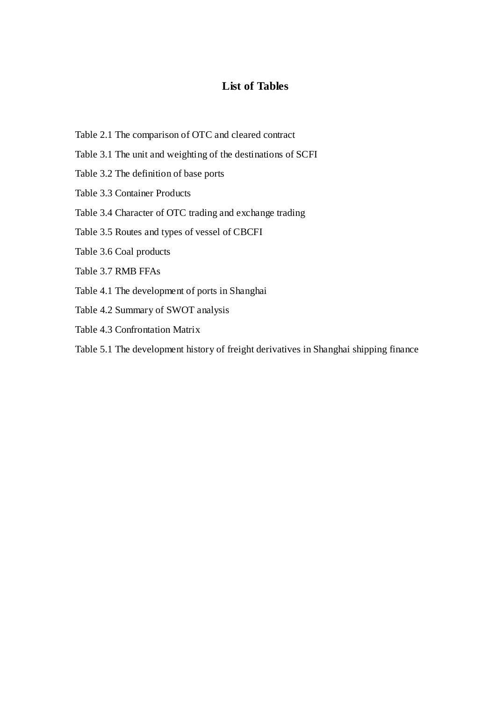# **List of Tables**

- Table 2.1 The comparison of OTC and cleared contract
- Table 3.1 The unit and weighting of the destinations of SCFI
- Table 3.2 The definition of base ports
- Table 3.3 Container Products

### Table 3.4 Character of OTC trading and exchange trading

Table 3.5 Routes and types of vessel of CBCFI

- Table 3.6 Coal products
- Table 3.7 RMB FFAs
- Table 4.1 The development of ports in Shanghai
- Table 4.2 Summary of SWOT analysis
- Table 4.3 Confrontation Matrix
- Table 5.1 The development history of freight derivatives in Shanghai shipping finance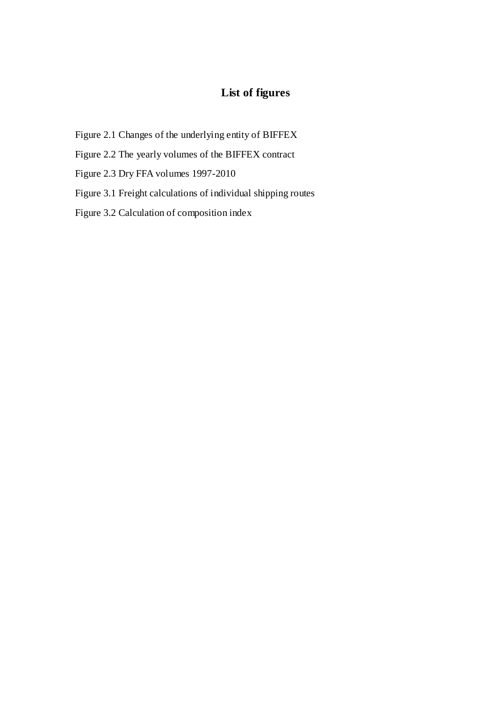# **List of figures**

- Figure 2.1 Changes of the underlying entity of BIFFEX
- Figure 2.2 The yearly volumes of the BIFFEX contract
- Figure 2.3 Dry FFA volumes 1997-2010
- Figure 3.1 Freight calculations of individual shipping routes
- Figure 3.2 Calculation of composition index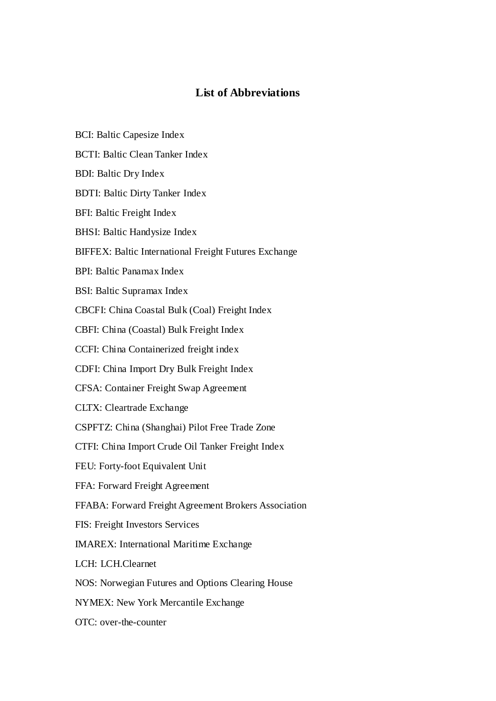# **List of Abbreviations**

- BCI: Baltic Capesize Index
- BCTI: Baltic Clean Tanker Index
- BDI: Baltic Dry Index
- BDTI: Baltic Dirty Tanker Index
- BFI: Baltic Freight Index
- BHSI: Baltic Handysize Index
- BIFFEX: Baltic International Freight Futures Exchange
- BPI: Baltic Panamax Index
- BSI: Baltic Supramax Index
- CBCFI: China Coastal Bulk (Coal) Freight Index
- CBFI: China (Coastal) Bulk Freight Index
- CCFI: China Containerized freight index
- CDFI: China Import Dry Bulk Freight Index
- CFSA: Container Freight Swap Agreement
- CLTX: Cleartrade Exchange
- CSPFTZ: China (Shanghai) Pilot Free Trade Zone
- CTFI: China Import Crude Oil Tanker Freight Index
- FEU: Forty-foot Equivalent Unit
- FFA: Forward Freight Agreement
- FFABA: Forward Freight Agreement Brokers Association
- FIS: Freight Investors Services
- IMAREX: International Maritime Exchange
- LCH: LCH.Clearnet
- NOS: Norwegian Futures and Options Clearing House
- NYMEX: New York Mercantile Exchange
- OTC: over-the-counter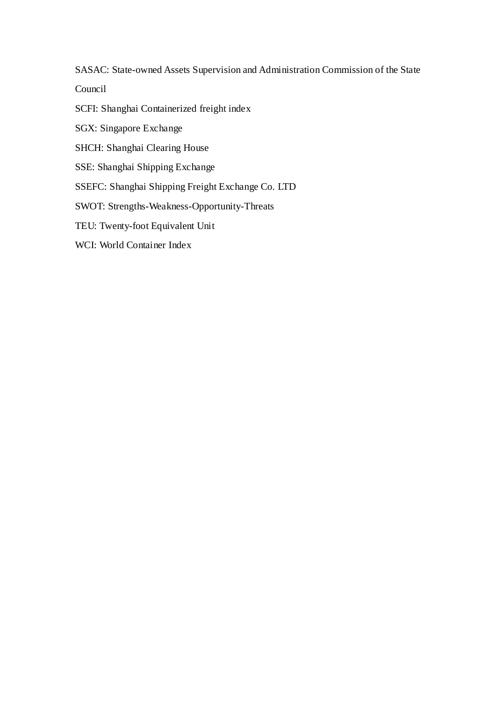SASAC: State-owned Assets Supervision and Administration Commission of the State

Council

SCFI: Shanghai Containerized freight index

SGX: Singapore Exchange

SHCH: Shanghai Clearing House

SSE: Shanghai Shipping Exchange

SSEFC: Shanghai Shipping Freight Exchange Co. LTD

SWOT: Strengths-Weakness-Opportunity-Threats

TEU: Twenty-foot Equivalent Unit

WCI: World Container Index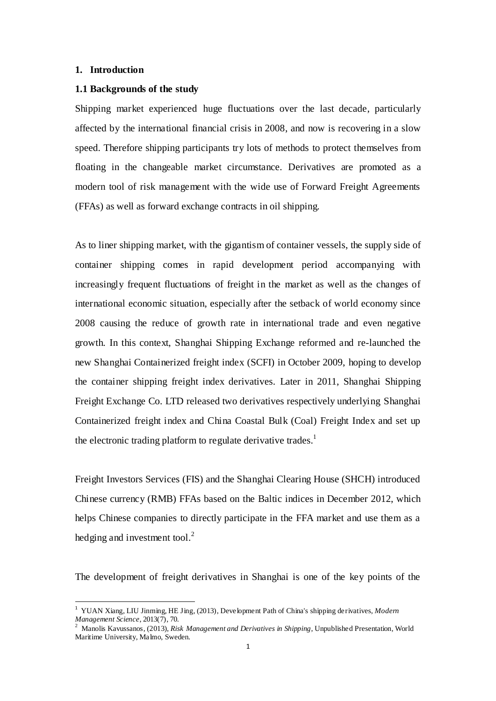### <span id="page-9-0"></span>**1. Introduction**

 $\overline{a}$ 

#### <span id="page-9-1"></span>**1.1 Backgrounds of the study**

Shipping market experienced huge fluctuations over the last decade, particularly affected by the international financial crisis in 2008, and now is recovering in a slow speed. Therefore shipping participants try lots of methods to protect themselves from floating in the changeable market circumstance. Derivatives are promoted as a modern tool of risk management with the wide use of Forward Freight Agreements (FFAs) as well as forward exchange contracts in oil shipping.

As to liner shipping market, with the gigantism of container vessels, the supply side of container shipping comes in rapid development period accompanying with increasingly frequent fluctuations of freight in the market as well as the changes of international economic situation, especially after the setback of world economy since 2008 causing the reduce of growth rate in international trade and even negative growth. In this context, Shanghai Shipping Exchange reformed and re-launched the new Shanghai Containerized freight index (SCFI) in October 2009, hoping to develop the container shipping freight index derivatives. Later in 2011, Shanghai Shipping Freight Exchange Co. LTD released two derivatives respectively underlying Shanghai Containerized freight index and China Coastal Bulk (Coal) Freight Index and set up the electronic trading platform to regulate derivative trades.<sup>1</sup>

Freight Investors Services (FIS) and the Shanghai Clearing House (SHCH) introduced Chinese currency (RMB) FFAs based on the Baltic indices in December 2012, which helps Chinese companies to directly participate in the FFA market and use them as a hedging and investment tool. $^{2}$ 

The development of freight derivatives in Shanghai is one of the key points of the

<sup>1</sup> YUAN Xiang, LIU Jinming, HE Jing, (2013), Development Path of China's shipping derivatives, *Modern Management Science*, 2013(7), 70.

<sup>2</sup> Manolis Kavussanos, (2013), *Risk Management and Derivatives in Shipping*, Unpublished Presentation, World Maritime University, Malmo, Sweden.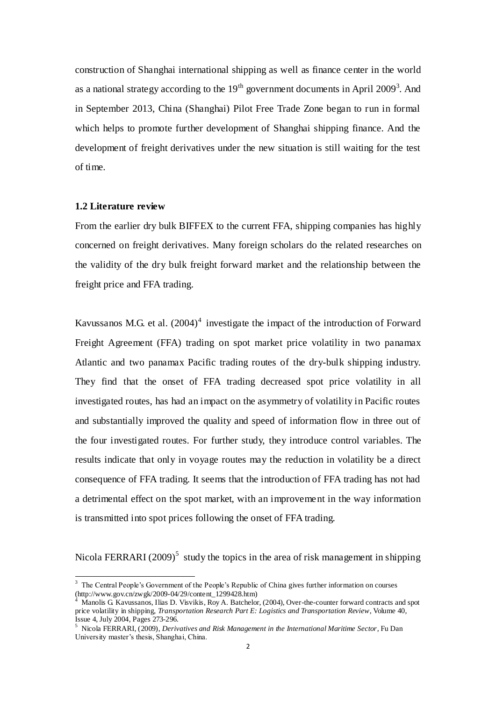construction of Shanghai international shipping as well as finance center in the world as a national strategy according to the  $19<sup>th</sup>$  government documents in April 2009<sup>3</sup>. And in September 2013, China (Shanghai) Pilot Free Trade Zone began to run in formal which helps to promote further development of Shanghai shipping finance. And the development of freight derivatives under the new situation is still waiting for the test of time.

# <span id="page-10-0"></span>**1.2 Literature review**

From the earlier dry bulk BIFFEX to the current FFA, shipping companies has highly concerned on freight derivatives. Many foreign scholars do the related researches on the validity of the dry bulk freight forward market and the relationship between the freight price and FFA trading.

Kavussanos M.G. et al.  $(2004)^4$  investigate the impact of the introduction of Forward Freight Agreement (FFA) trading on spot market price volatility in two panamax Atlantic and two panamax Pacific trading routes of the dry-bulk shipping industry. They find that the onset of FFA trading decreased spot price volatility in all investigated routes, has had an impact on the asymmetry of volatility in Pacific routes and substantially improved the quality and speed of information flow in three out of the four investigated routes. For further study, they introduce control variables. The results indicate that only in voyage routes may the reduction in volatility be a direct consequence of FFA trading. It seems that the introduction of FFA trading has not had a detrimental effect on the spot market, with an improvement in the way information is transmitted into spot prices following the onset of FFA trading.

Nicola FERRARI (2009)<sup>5</sup> study the topics in the area of risk management in shipping

<sup>&</sup>lt;sup>3</sup> The Central People's Government of the People's Republic of China gives further information on courses (http://www.gov.cn/zwgk/2009-04/29/content\_1299428.htm)

Manolis G. Kavussanos, Ilias D. Visvikis, Roy A. Batchelor, (2004), Over-the-counter forward contracts and spot price volatility in shipping, *Transportation Research Part E: Logistics and Transportation Review*, Volume 40, Issue 4, July 2004, Pages 273-296.

<sup>5</sup> Nicola FERRARI, (2009), *Derivatives and Risk Management in the International Maritime Sector*, Fu Dan University master's thesis, Shanghai, China.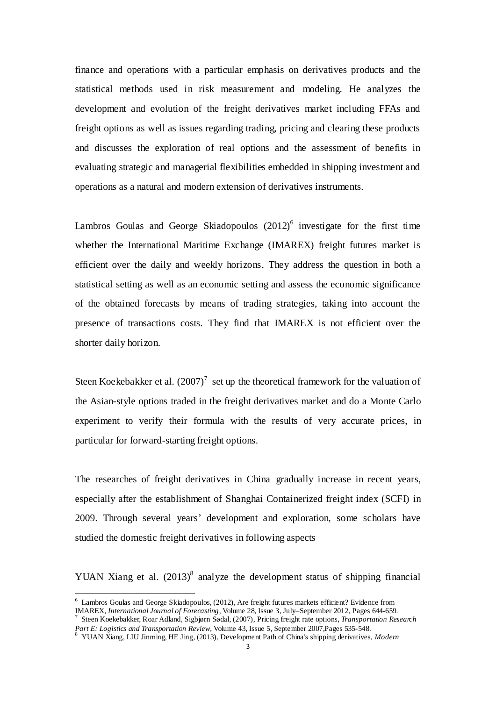finance and operations with a particular emphasis on derivatives products and the statistical methods used in risk measurement and modeling. He analyzes the development and evolution of the freight derivatives market including FFAs and freight options as well as issues regarding trading, pricing and clearing these products and discusses the exploration of real options and the assessment of benefits in evaluating strategic and managerial flexibilities embedded in shipping investment and operations as a natural and modern extension of derivatives instruments.

Lambros Goulas and George Skiadopoulos  $(2012)^6$  investigate for the first time whether the International Maritime Exchange (IMAREX) freight futures market is efficient over the daily and weekly horizons. They address the question in both a statistical setting as well as an economic setting and assess the economic significance of the obtained forecasts by means of trading strategies, taking into account the presence of transactions costs. They find that IMAREX is not efficient over the shorter daily horizon.

Steen Koekebakker et al.  $(2007)^7$  set up the theoretical framework for the valuation of the Asian-style options traded in the freight derivatives market and do a Monte Carlo experiment to verify their formula with the results of very accurate prices, in particular for forward-starting freight options.

The researches of freight derivatives in China gradually increase in recent years, especially after the establishment of Shanghai Containerized freight index (SCFI) in 2009. Through several years' development and exploration, some scholars have studied the domestic freight derivatives in following aspects

YUAN Xiang et al.  $(2013)^8$  analyze the development status of shipping financial

 $\overline{a}$ 

 $6$  Lambros Goulas and George Skiadopoulos, (2012), Are freight futures markets efficient? Evidence from [IMAREX,](http://www.sciencedirect.com/science/article/pii/S0169207012000039) *International Journal of Forecasting*, Volume 28, Issue 3, July–September 2012, Pages 644-659.

<sup>7</sup> Steen Koekebakker, Roar Adland, Sigbjørn Sødal, (2007)[, Pricing freight rate options,](http://www.sciencedirect.com/science/article/pii/S1366554506000342) *Transportation Research Part E: Logistics and Transportation Review*, Volume 43, Issue 5, September 2007,Pages 535-548.

<sup>8</sup> YUAN Xiang, LIU Jinming, HE Jing, (2013), Development Path of China's shipping derivatives, *Modern*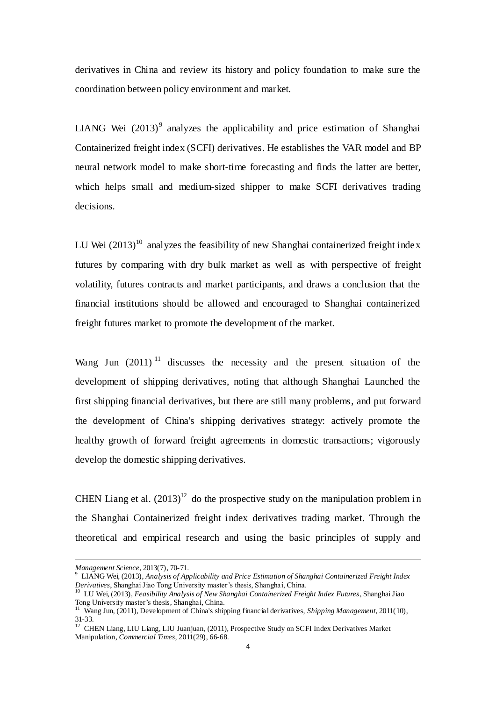derivatives in China and review its history and policy foundation to make sure the coordination between policy environment and market.

LIANG Wei  $(2013)^9$  analyzes the applicability and price estimation of Shanghai Containerized freight index (SCFI) derivatives. He establishes the VAR model and BP neural network model to make short-time forecasting and finds the latter are better, which helps small and medium-sized shipper to make SCFI derivatives trading decisions.

LU Wei  $(2013)^{10}$  analyzes the feasibility of new Shanghai containerized freight index futures by comparing with dry bulk market as well as with perspective of freight volatility, futures contracts and market participants, and draws a conclusion that the financial institutions should be allowed and encouraged to Shanghai containerized freight futures market to promote the development of the market.

Wang Jun  $(2011)^{11}$  discusses the necessity and the present situation of the development of shipping derivatives, noting that although Shanghai Launched the first shipping financial derivatives, but there are still many problems, and put forward the development of China's shipping derivatives strategy: actively promote the healthy growth of forward freight agreements in domestic transactions; vigorously develop the domestic shipping derivatives.

CHEN Liang et al.  $(2013)^{12}$  do the prospective study on the manipulation problem in the Shanghai Containerized freight index derivatives trading market. Through the theoretical and empirical research and using the basic principles of supply and

 $\overline{a}$ 

*Management Science*, 2013(7), 70-71.

<sup>9</sup> LIANG Wei, (2013), *Analysis of Applicability and Price Estimation of Shanghai Containerized Freight Index Derivatives*, Shanghai Jiao Tong University master's thesis, Shanghai, China.

<sup>10</sup> LU Wei, (2013), *Feasibility Analysis of New Shanghai Containerized Freight Index Futures*, Shanghai Jiao Tong University master's thesis, Shanghai, China.

<sup>11</sup> Wang Jun, (2011), Development of China's shipping financial derivatives, *Shipping Management*, 2011(10), 31-33.

<sup>&</sup>lt;sup>12</sup> CHEN Liang, LIU Liang, LIU Juanjuan, (2011), Prospective Study on SCFI Index Derivatives Market Manipulation, *Commercial Times*, 2011(29), 66-68.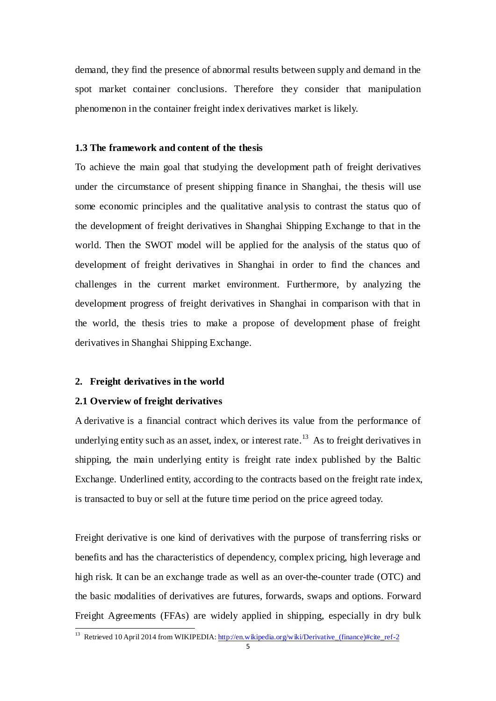demand, they find the presence of abnormal results between supply and demand in the spot market container conclusions. Therefore they consider that manipulation phenomenon in the container freight index derivatives market is likely.

#### <span id="page-13-0"></span>**1.3 The framework and content of the thesis**

To achieve the main goal that studying the development path of freight derivatives under the circumstance of present shipping finance in Shanghai, the thesis will use some economic principles and the qualitative analysis to contrast the status quo of the development of freight derivatives in Shanghai Shipping Exchange to that in the world. Then the SWOT model will be applied for the analysis of the status quo of development of freight derivatives in Shanghai in order to find the chances and challenges in the current market environment. Furthermore, by analyzing the development progress of freight derivatives in Shanghai in comparison with that in the world, the thesis tries to make a propose of development phase of freight derivatives in Shanghai Shipping Exchange.

#### <span id="page-13-1"></span>**2. Freight derivatives in the world**

#### <span id="page-13-2"></span>**2.1 Overview of freight derivatives**

 $\overline{a}$ 

A derivative is a financial contract which derives its value from the performance of underlying entity such as an asset, index, or interest rate.<sup>13</sup> As to freight derivatives in shipping, the main underlying entity is freight rate index published by the Baltic Exchange. Underlined entity, according to the contracts based on the freight rate index, is transacted to buy or sell at the future time period on the price agreed today.

Freight derivative is one kind of derivatives with the purpose of transferring risks or benefits and has the characteristics of dependency, complex pricing, high leverage and high risk. It can be an exchange trade as well as an over-the-counter trade (OTC) and the basic modalities of derivatives are futures, forwards, swaps and options. Forward Freight Agreements (FFAs) are widely applied in shipping, especially in dry bulk

<sup>&</sup>lt;sup>13</sup> Retrieved 10 April 2014 from WIKIPEDIA: [http://en.wikipedia.org/wiki/Derivative\\_\(finance\)#cite\\_ref-2](http://en.wikipedia.org/wiki/Derivative_(finance)#cite_ref-2)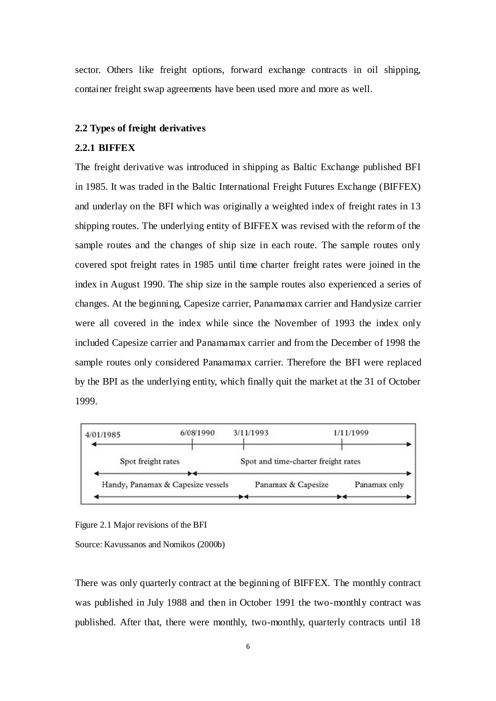sector. Others like freight options, forward exchange contracts in oil shipping, container freight swap agreements have been used more and more as well.

#### <span id="page-14-0"></span>**2.2 Types of freight derivatives**

#### <span id="page-14-1"></span>**2.2.1 BIFFEX**

The freight derivative was introduced in shipping as Baltic Exchange published BFI in 1985. It was traded in the Baltic International Freight Futures Exchange (BIFFEX) and underlay on the BFI which was originally a weighted index of freight rates in 13 shipping routes. The underlying entity of BIFFEX was revised with the reform of the sample routes and the changes of ship size in each route. The sample routes only covered spot freight rates in 1985 until time charter freight rates were joined in the index in August 1990. The ship size in the sample routes also experienced a series of changes. At the beginning, Capesize carrier, Panamamax carrier and Handysize carrier were all covered in the index while since the November of 1993 the index only included Capesize carrier and Panamamax carrier and from the December of 1998 the sample routes only considered Panamamax carrier. Therefore the BFI were replaced by the BPI as the underlying entity, which finally quit the market at the 31 of October 1999.



Figure 2.1 Major revisions of the BFI

Source: Kavussanos and Nomikos (2000b)

There was only quarterly contract at the beginning of BIFFEX. The monthly contract was published in July 1988 and then in October 1991 the two-monthly contract was published. After that, there were monthly, two-monthly, quarterly contracts until 18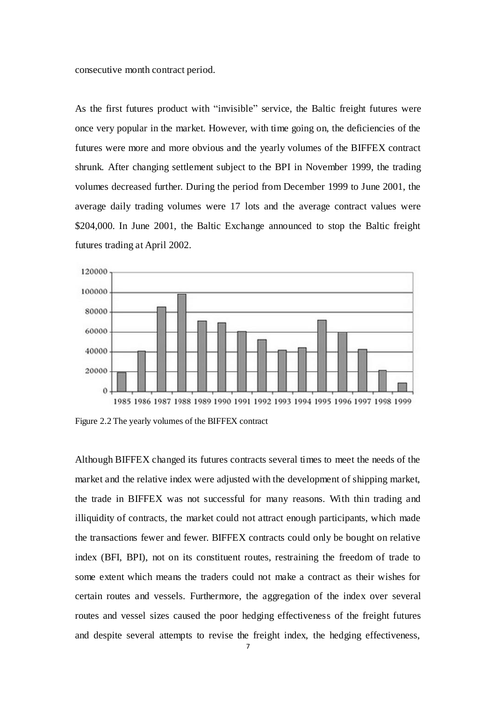consecutive month contract period.

As the first futures product with "invisible" service, the Baltic freight futures were once very popular in the market. However, with time going on, the deficiencies of the futures were more and more obvious and the yearly volumes of the BIFFEX contract shrunk. After changing settlement subject to the BPI in November 1999, the trading volumes decreased further. During the period from December 1999 to June 2001, the average daily trading volumes were 17 lots and the average contract values were \$204,000. In June 2001, the Baltic Exchange announced to stop the Baltic freight futures trading at April 2002.



Figure 2.2 The yearly volumes of the BIFFEX contract

Although BIFFEX changed its futures contracts several times to meet the needs of the market and the relative index were adjusted with the development of shipping market, the trade in BIFFEX was not successful for many reasons. With thin trading and illiquidity of contracts, the market could not attract enough participants, which made the transactions fewer and fewer. BIFFEX contracts could only be bought on relative index (BFI, BPI), not on its constituent routes, restraining the freedom of trade to some extent which means the traders could not make a contract as their wishes for certain routes and vessels. Furthermore, the aggregation of the index over several routes and vessel sizes caused the poor hedging effectiveness of the freight futures and despite several attempts to revise the freight index, the hedging effectiveness,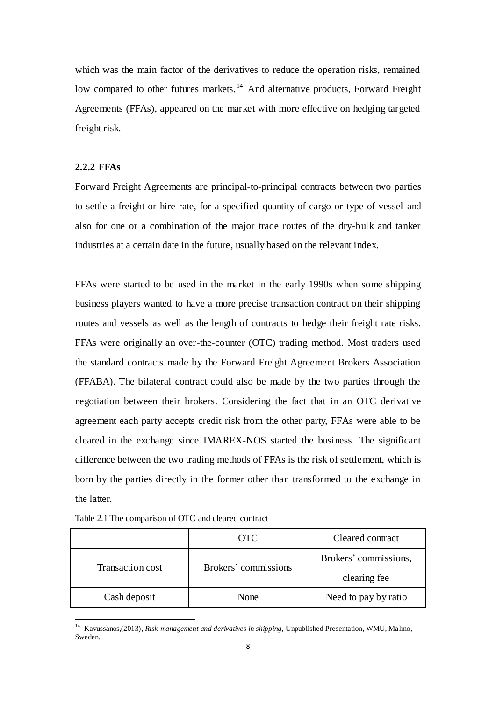which was the main factor of the derivatives to reduce the operation risks, remained low compared to other futures markets.<sup>14</sup> And alternative products, Forward Freight Agreements (FFAs), appeared on the market with more effective on hedging targeted freight risk.

#### <span id="page-16-0"></span>**2.2.2 FFAs**

 $\overline{a}$ 

Forward Freight Agreements are principal-to-principal contracts between two parties to settle a freight or hire rate, for a specified quantity of cargo or type of vessel and also for one or a combination of the major trade routes of the dry-bulk and tanker industries at a certain date in the future, usually based on the relevant index.

FFAs were started to be used in the market in the early 1990s when some shipping business players wanted to have a more precise transaction contract on their shipping routes and vessels as well as the length of contracts to hedge their freight rate risks. FFAs were originally an over-the-counter (OTC) trading method. Most traders used the standard contracts made by the Forward Freight Agreement Brokers Association (FFABA). The bilateral contract could also be made by the two parties through the negotiation between their brokers. Considering the fact that in an OTC derivative agreement each party accepts credit risk from the other party, FFAs were able to be cleared in the exchange since IMAREX-NOS started the business. The significant difference between the two trading methods of FFAs is the risk of settlement, which is born by the parties directly in the former other than transformed to the exchange in the latter.

|                         | OTC.                 | Cleared contract      |
|-------------------------|----------------------|-----------------------|
| <b>Transaction cost</b> | Brokers' commissions | Brokers' commissions, |
|                         |                      | clearing fee          |
| Cash deposit            | None                 | Need to pay by ratio  |

Table 2.1 The comparison of OTC and cleared contract

<sup>14</sup> Kavussanos,(2013), *Risk management and derivatives in shipping,* Unpublished Presentation, WMU, Malmo, Sweden.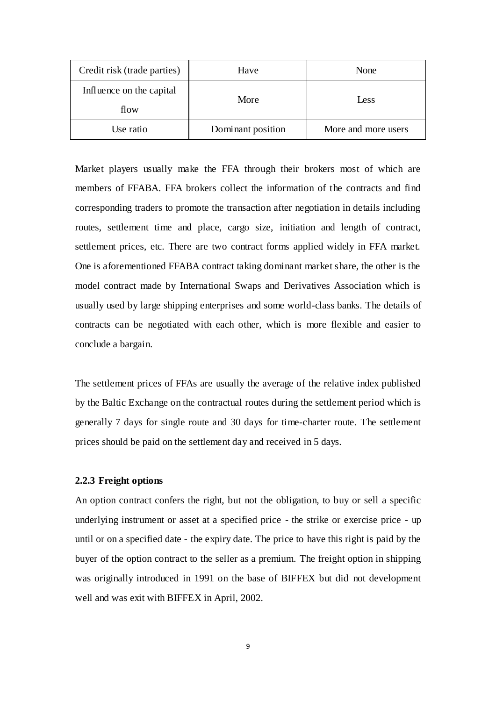| Credit risk (trade parties) | Have              | None                |
|-----------------------------|-------------------|---------------------|
| Influence on the capital    | More              | Less                |
| flow                        |                   |                     |
| Use ratio                   | Dominant position | More and more users |

Market players usually make the FFA through their brokers most of which are members of FFABA. FFA brokers collect the information of the contracts and find corresponding traders to promote the transaction after negotiation in details including routes, settlement time and place, cargo size, initiation and length of contract, settlement prices, etc. There are two contract forms applied widely in FFA market. One is aforementioned FFABA contract taking dominant market share, the other is the model contract made by International Swaps and Derivatives Association which is usually used by large shipping enterprises and some world-class banks. The details of contracts can be negotiated with each other, which is more flexible and easier to conclude a bargain.

The settlement prices of FFAs are usually the average of the relative index published by the Baltic Exchange on the contractual routes during the settlement period which is generally 7 days for single route and 30 days for time-charter route. The settlement prices should be paid on the settlement day and received in 5 days.

#### <span id="page-17-0"></span>**2.2.3 Freight options**

An option contract confers the right, but not the obligation, to buy or sell a specific underlying instrument or asset at a specified price - the strike or exercise price - up until or on a specified date - the expiry date. The price to have this right is paid by the buyer of the option contract to the seller as a premium. The freight option in shipping was originally introduced in 1991 on the base of BIFFEX but did not development well and was exit with BIFFEX in April, 2002.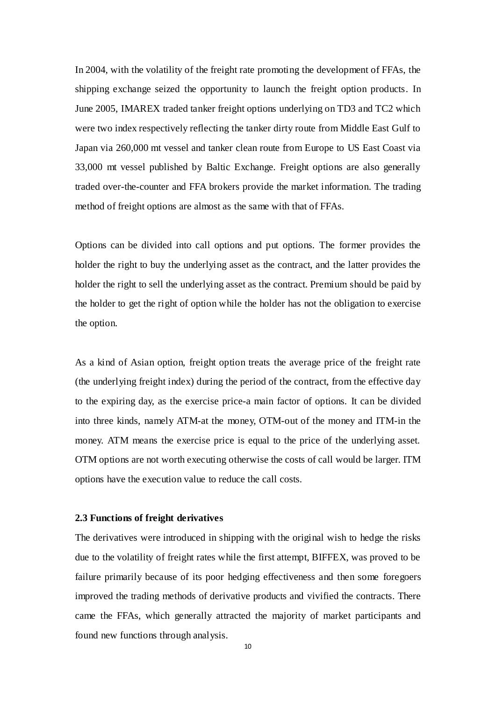In 2004, with the volatility of the freight rate promoting the development of FFAs, the shipping exchange seized the opportunity to launch the freight option products. In June 2005, IMAREX traded tanker freight options underlying on TD3 and TC2 which were two index respectively reflecting the tanker dirty route from Middle East Gulf to Japan via 260,000 mt vessel and tanker clean route from Europe to US East Coast via 33,000 mt vessel published by Baltic Exchange. Freight options are also generally traded over-the-counter and FFA brokers provide the market information. The trading method of freight options are almost as the same with that of FFAs.

Options can be divided into call options and put options. The former provides the holder the right to buy the underlying asset as the contract, and the latter provides the holder the right to sell the underlying asset as the contract. Premium should be paid by the holder to get the right of option while the holder has not the obligation to exercise the option.

As a kind of Asian option, freight option treats the average price of the freight rate (the underlying freight index) during the period of the contract, from the effective day to the expiring day, as the exercise price-a main factor of options. It can be divided into three kinds, namely ATM-at the money, OTM-out of the money and ITM-in the money. ATM means the exercise price is equal to the price of the underlying asset. OTM options are not worth executing otherwise the costs of call would be larger. ITM options have the execution value to reduce the call costs.

#### <span id="page-18-0"></span>**2.3 Functions of freight derivatives**

The derivatives were introduced in shipping with the original wish to hedge the risks due to the volatility of freight rates while the first attempt, BIFFEX, was proved to be failure primarily because of its poor hedging effectiveness and then some foregoers improved the trading methods of derivative products and vivified the contracts. There came the FFAs, which generally attracted the majority of market participants and found new functions through analysis.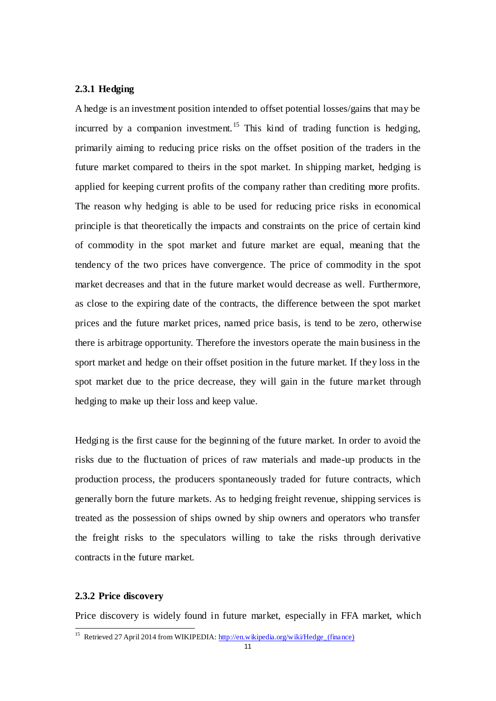### <span id="page-19-0"></span>**2.3.1 Hedging**

A hedge is an investment position intended to offset potential losses/gains that may be incurred by a companion investment.<sup>15</sup> This kind of trading function is hedging, primarily aiming to reducing price risks on the offset position of the traders in the future market compared to theirs in the spot market. In shipping market, hedging is applied for keeping current profits of the company rather than crediting more profits. The reason why hedging is able to be used for reducing price risks in economical principle is that theoretically the impacts and constraints on the price of certain kind of commodity in the spot market and future market are equal, meaning that the tendency of the two prices have convergence. The price of commodity in the spot market decreases and that in the future market would decrease as well. Furthermore, as close to the expiring date of the contracts, the difference between the spot market prices and the future market prices, named price basis, is tend to be zero, otherwise there is arbitrage opportunity. Therefore the investors operate the main business in the sport market and hedge on their offset position in the future market. If they loss in the spot market due to the price decrease, they will gain in the future market through hedging to make up their loss and keep value.

Hedging is the first cause for the beginning of the future market. In order to avoid the risks due to the fluctuation of prices of raw materials and made-up products in the production process, the producers spontaneously traded for future contracts, which generally born the future markets. As to hedging freight revenue, shipping services is treated as the possession of ships owned by ship owners and operators who transfer the freight risks to the speculators willing to take the risks through derivative contracts in the future market.

### <span id="page-19-1"></span>**2.3.2 Price discovery**

 $\overline{a}$ 

Price discovery is widely found in future market, especially in FFA market, which

<sup>&</sup>lt;sup>15</sup> Retrieved 27 April 2014 from WIKIPEDIA: [http://en.wikipedia.org/wiki/Hedge\\_\(finance\)](http://en.wikipedia.org/wiki/Hedge_(finance))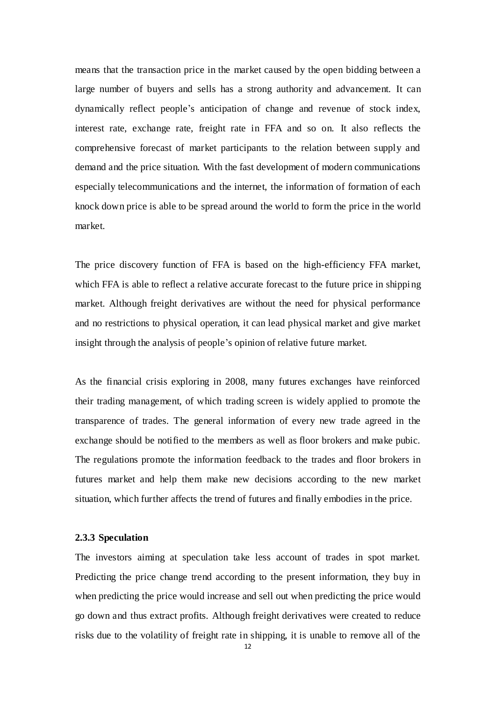means that the transaction price in the market caused by the open bidding between a large number of buyers and sells has a strong authority and advancement. It can dynamically reflect people's anticipation of change and revenue of stock index, interest rate, exchange rate, freight rate in FFA and so on. It also reflects the comprehensive forecast of market participants to the relation between supply and demand and the price situation. With the fast development of modern communications especially telecommunications and the internet, the information of formation of each knock down price is able to be spread around the world to form the price in the world market.

The price discovery function of FFA is based on the high-efficiency FFA market, which FFA is able to reflect a relative accurate forecast to the future price in shipping market. Although freight derivatives are without the need for physical performance and no restrictions to physical operation, it can lead physical market and give market insight through the analysis of people's opinion of relative future market.

As the financial crisis exploring in 2008, many futures exchanges have reinforced their trading management, of which trading screen is widely applied to promote the transparence of trades. The general information of every new trade agreed in the exchange should be notified to the members as well as floor brokers and make pubic. The regulations promote the information feedback to the trades and floor brokers in futures market and help them make new decisions according to the new market situation, which further affects the trend of futures and finally embodies in the price.

#### <span id="page-20-0"></span>**2.3.3 Speculation**

The investors aiming at speculation take less account of trades in spot market. Predicting the price change trend according to the present information, they buy in when predicting the price would increase and sell out when predicting the price would go down and thus extract profits. Although freight derivatives were created to reduce risks due to the volatility of freight rate in shipping, it is unable to remove all of the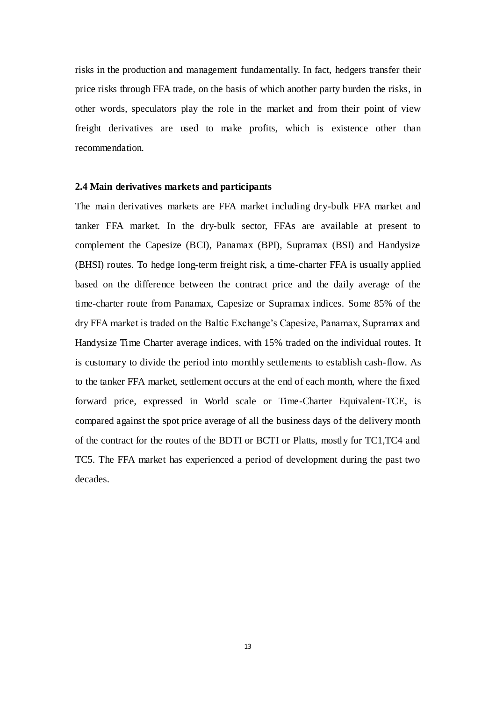risks in the production and management fundamentally. In fact, hedgers transfer their price risks through FFA trade, on the basis of which another party burden the risks, in other words, speculators play the role in the market and from their point of view freight derivatives are used to make profits, which is existence other than recommendation.

#### <span id="page-21-0"></span>**2.4 Main derivatives markets and participants**

The main derivatives markets are FFA market including dry-bulk FFA market and tanker FFA market. In the dry-bulk sector, FFAs are available at present to complement the Capesize (BCI), Panamax (BPI), Supramax (BSI) and Handysize (BHSI) routes. To hedge long-term freight risk, a time-charter FFA is usually applied based on the difference between the contract price and the daily average of the time-charter route from Panamax, Capesize or Supramax indices. Some 85% of the dry FFA market is traded on the Baltic Exchange's Capesize, Panamax, Supramax and Handysize Time Charter average indices, with 15% traded on the individual routes. It is customary to divide the period into monthly settlements to establish cash-flow. As to the tanker FFA market, settlement occurs at the end of each month, where the fixed forward price, expressed in World scale or Time-Charter Equivalent-TCE, is compared against the spot price average of all the business days of the delivery month of the contract for the routes of the BDTI or BCTI or Platts, mostly for TC1,TC4 and TC5. The FFA market has experienced a period of development during the past two decades.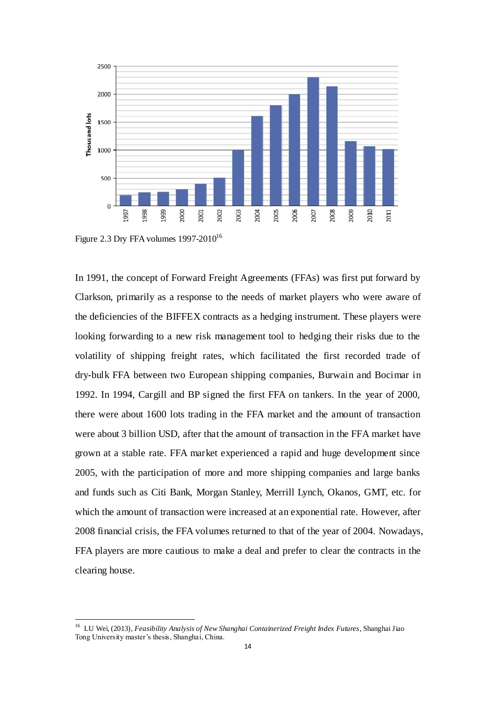

Figure 2.3 Dry FFA volumes  $1997-2010^{16}$ 

 $\overline{a}$ 

In 1991, the concept of Forward Freight Agreements (FFAs) was first put forward by Clarkson, primarily as a response to the needs of market players who were aware of the deficiencies of the BIFFEX contracts as a hedging instrument. These players were looking forwarding to a new risk management tool to hedging their risks due to the volatility of shipping freight rates, which facilitated the first recorded trade of dry-bulk FFA between two European shipping companies, Burwain and Bocimar in 1992. In 1994, Cargill and BP signed the first FFA on tankers. In the year of 2000, there were about 1600 lots trading in the FFA market and the amount of transaction were about 3 billion USD, after that the amount of transaction in the FFA market have grown at a stable rate. FFA market experienced a rapid and huge development since 2005, with the participation of more and more shipping companies and large banks and funds such as Citi Bank, Morgan Stanley, Merrill Lynch, Okanos, GMT, etc. for which the amount of transaction were increased at an exponential rate. However, after 2008 financial crisis, the FFA volumes returned to that of the year of 2004. Nowadays, FFA players are more cautious to make a deal and prefer to clear the contracts in the clearing house.

<sup>16</sup> LU Wei, (2013), *Feasibility Analysis of New Shanghai Containerized Freight Index Futures*, Shanghai Jiao Tong University master's thesis, Shanghai, China.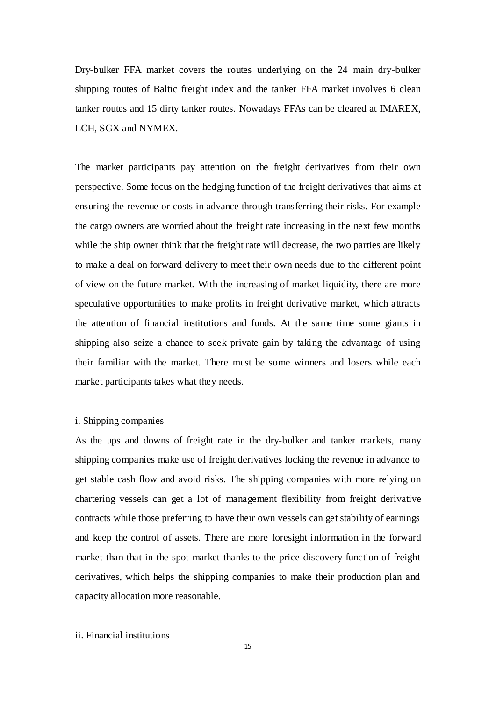Dry-bulker FFA market covers the routes underlying on the 24 main dry-bulker shipping routes of Baltic freight index and the tanker FFA market involves 6 clean tanker routes and 15 dirty tanker routes. Nowadays FFAs can be cleared at IMAREX, LCH, SGX and NYMEX.

The market participants pay attention on the freight derivatives from their own perspective. Some focus on the hedging function of the freight derivatives that aims at ensuring the revenue or costs in advance through transferring their risks. For example the cargo owners are worried about the freight rate increasing in the next few months while the ship owner think that the freight rate will decrease, the two parties are likely to make a deal on forward delivery to meet their own needs due to the different point of view on the future market. With the increasing of market liquidity, there are more speculative opportunities to make profits in freight derivative market, which attracts the attention of financial institutions and funds. At the same time some giants in shipping also seize a chance to seek private gain by taking the advantage of using their familiar with the market. There must be some winners and losers while each market participants takes what they needs.

#### i. Shipping companies

As the ups and downs of freight rate in the dry-bulker and tanker markets, many shipping companies make use of freight derivatives locking the revenue in advance to get stable cash flow and avoid risks. The shipping companies with more relying on chartering vessels can get a lot of management flexibility from freight derivative contracts while those preferring to have their own vessels can get stability of earnings and keep the control of assets. There are more foresight information in the forward market than that in the spot market thanks to the price discovery function of freight derivatives, which helps the shipping companies to make their production plan and capacity allocation more reasonable.

### ii. Financial institutions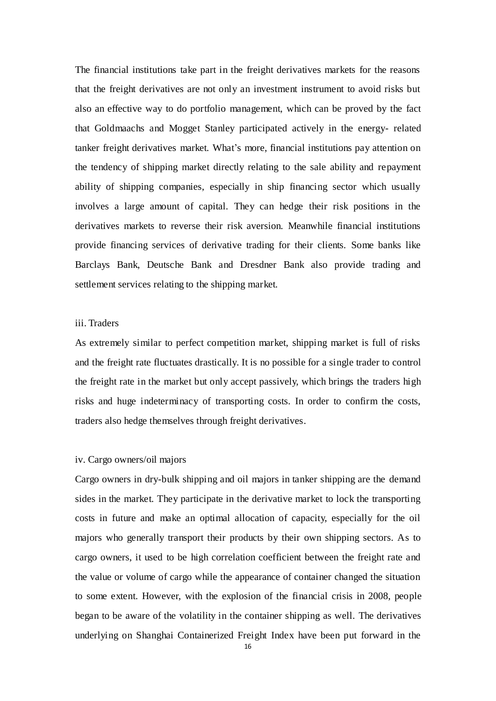The financial institutions take part in the freight derivatives markets for the reasons that the freight derivatives are not only an investment instrument to avoid risks but also an effective way to do portfolio management, which can be proved by the fact that Goldmaachs and Mogget Stanley participated actively in the energy- related tanker freight derivatives market. What's more, financial institutions pay attention on the tendency of shipping market directly relating to the sale ability and repayment ability of shipping companies, especially in ship financing sector which usually involves a large amount of capital. They can hedge their risk positions in the derivatives markets to reverse their risk aversion. Meanwhile financial institutions provide financing services of derivative trading for their clients. Some banks like Barclays Bank, Deutsche Bank and Dresdner Bank also provide trading and settlement services relating to the shipping market.

# iii. Traders

As extremely similar to perfect competition market, shipping market is full of risks and the freight rate fluctuates drastically. It is no possible for a single trader to control the freight rate in the market but only accept passively, which brings the traders high risks and huge indeterminacy of transporting costs. In order to confirm the costs, traders also hedge themselves through freight derivatives.

#### iv. Cargo owners/oil majors

Cargo owners in dry-bulk shipping and oil majors in tanker shipping are the demand sides in the market. They participate in the derivative market to lock the transporting costs in future and make an optimal allocation of capacity, especially for the oil majors who generally transport their products by their own shipping sectors. As to cargo owners, it used to be high correlation coefficient between the freight rate and the value or volume of cargo while the appearance of container changed the situation to some extent. However, with the explosion of the financial crisis in 2008, people began to be aware of the volatility in the container shipping as well. The derivatives underlying on Shanghai Containerized Freight Index have been put forward in the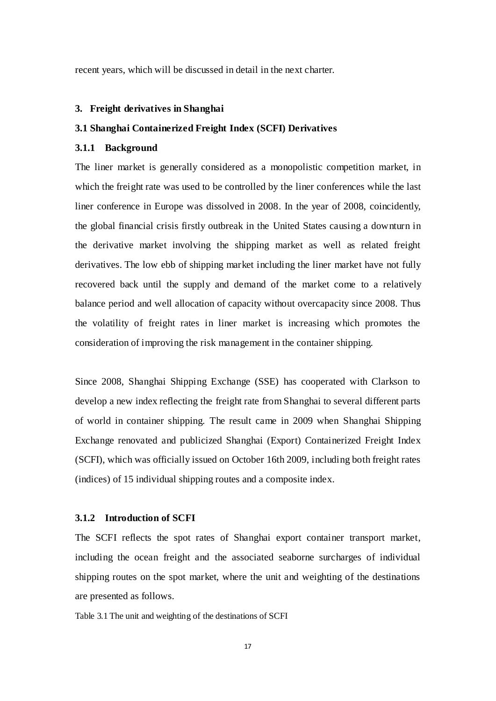recent years, which will be discussed in detail in the next charter.

#### <span id="page-25-0"></span>**3. Freight derivatives in Shanghai**

#### <span id="page-25-1"></span>**3.1 Shanghai Containerized Freight Index (SCFI) Derivatives**

### <span id="page-25-2"></span>**3.1.1 Background**

The liner market is generally considered as a monopolistic competition market, in which the freight rate was used to be controlled by the liner conferences while the last liner conference in Europe was dissolved in 2008. In the year of 2008, coincidently, the global financial crisis firstly outbreak in the United States causing a downturn in the derivative market involving the shipping market as well as related freight derivatives. The low ebb of shipping market including the liner market have not fully recovered back until the supply and demand of the market come to a relatively balance period and well allocation of capacity without overcapacity since 2008. Thus the volatility of freight rates in liner market is increasing which promotes the consideration of improving the risk management in the container shipping.

Since 2008, Shanghai Shipping Exchange (SSE) has cooperated with Clarkson to develop a new index reflecting the freight rate from Shanghai to several different parts of world in container shipping. The result came in 2009 when Shanghai Shipping Exchange renovated and publicized Shanghai (Export) Containerized Freight Index (SCFI), which was officially issued on October 16th 2009, including both freight rates (indices) of 15 individual shipping routes and a composite index.

#### <span id="page-25-3"></span>**3.1.2 Introduction of SCFI**

The SCFI reflects the spot rates of Shanghai export container transport market, including the ocean freight and the associated seaborne surcharges of individual shipping routes on the spot market, where the unit and weighting of the destinations are presented as follows.

Table 3.1 The unit and weighting of the destinations of SCFI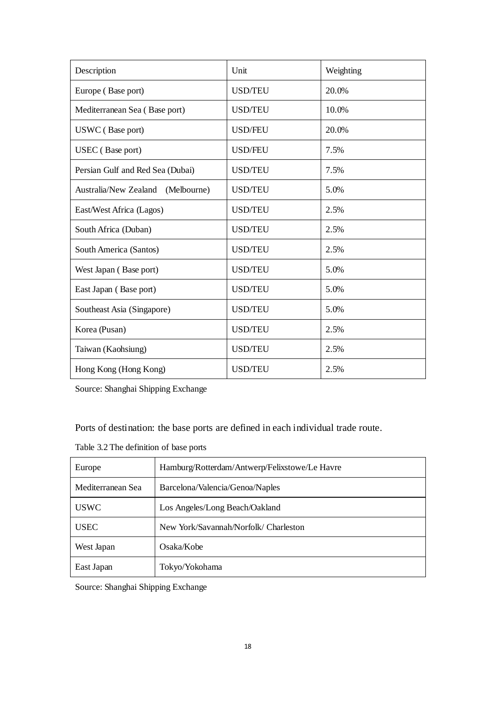| Description                       | Unit           | Weighting |
|-----------------------------------|----------------|-----------|
| Europe (Base port)                | <b>USD/TEU</b> | 20.0%     |
| Mediterranean Sea (Base port)     | <b>USD/TEU</b> | 10.0%     |
| USWC (Base port)                  | <b>USD/FEU</b> | 20.0%     |
| USEC (Base port)                  | <b>USD/FEU</b> | 7.5%      |
| Persian Gulf and Red Sea (Dubai)  | <b>USD/TEU</b> | 7.5%      |
| Australia/New Zealand (Melbourne) | <b>USD/TEU</b> | 5.0%      |
| East/West Africa (Lagos)          | <b>USD/TEU</b> | 2.5%      |
| South Africa (Duban)              | <b>USD/TEU</b> | 2.5%      |
| South America (Santos)            | <b>USD/TEU</b> | 2.5%      |
| West Japan (Base port)            | <b>USD/TEU</b> | 5.0%      |
| East Japan (Base port)            | <b>USD/TEU</b> | 5.0%      |
| Southeast Asia (Singapore)        | <b>USD/TEU</b> | 5.0%      |
| Korea (Pusan)                     | <b>USD/TEU</b> | 2.5%      |
| Taiwan (Kaohsiung)                | <b>USD/TEU</b> | 2.5%      |
| Hong Kong (Hong Kong)             | <b>USD/TEU</b> | 2.5%      |

Source: Shanghai Shipping Exchange

Ports of destination: the base ports are defined in each individual trade route.

|  |  |  | Table 3.2 The definition of base ports |  |
|--|--|--|----------------------------------------|--|
|--|--|--|----------------------------------------|--|

| Europe            | Hamburg/Rotterdam/Antwerp/Felixstowe/Le Havre |
|-------------------|-----------------------------------------------|
| Mediterranean Sea | Barcelona/Valencia/Genoa/Naples               |
| <b>USWC</b>       | Los Angeles/Long Beach/Oakland                |
| USEC              | New York/Savannah/Norfolk/ Charleston         |
| West Japan        | Osaka/Kobe                                    |
| East Japan        | Tokyo/Yokohama                                |

Source: Shanghai Shipping Exchange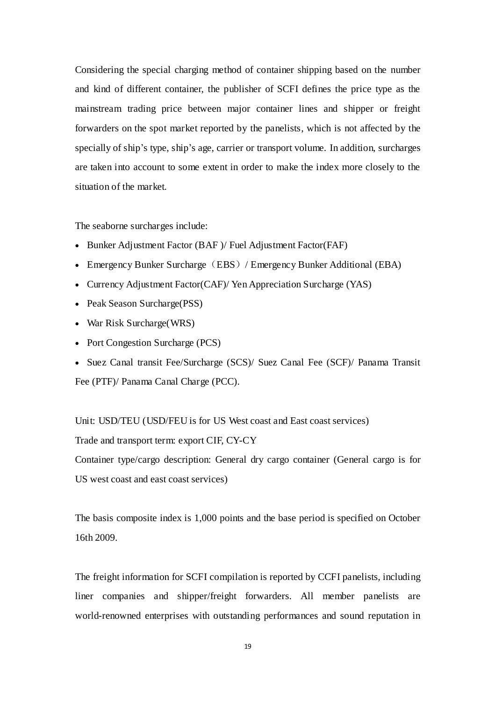Considering the special charging method of container shipping based on the number and kind of different container, the publisher of SCFI defines the price type as the mainstream trading price between major container lines and shipper or freight forwarders on the spot market reported by the panelists, which is not affected by the specially of ship's type, ship's age, carrier or transport volume. In addition, surcharges are taken into account to some extent in order to make the index more closely to the situation of the market.

The seaborne surcharges include:

- Bunker Adjustment Factor (BAF )/ Fuel Adjustment Factor(FAF)
- Emergency Bunker Surcharge (EBS) / Emergency Bunker Additional (EBA)
- Currency Adjustment Factor(CAF)/ Yen Appreciation Surcharge (YAS)
- Peak Season Surcharge(PSS)
- War Risk Surcharge(WRS)
- Port Congestion Surcharge (PCS)
- Suez Canal transit Fee/Surcharge (SCS)/ Suez Canal Fee (SCF)/ Panama Transit Fee (PTF)/ Panama Canal Charge (PCC).

Unit: USD/TEU (USD/FEU is for US West coast and East coast services) Trade and transport term: export CIF, CY-CY Container type/cargo description: General dry cargo container (General cargo is for US west coast and east coast services)

The basis composite index is 1,000 points and the base period is specified on October 16th 2009.

The freight information for SCFI compilation is reported by CCFI panelists, including liner companies and shipper/freight forwarders. All member panelists are world-renowned enterprises with outstanding performances and sound reputation in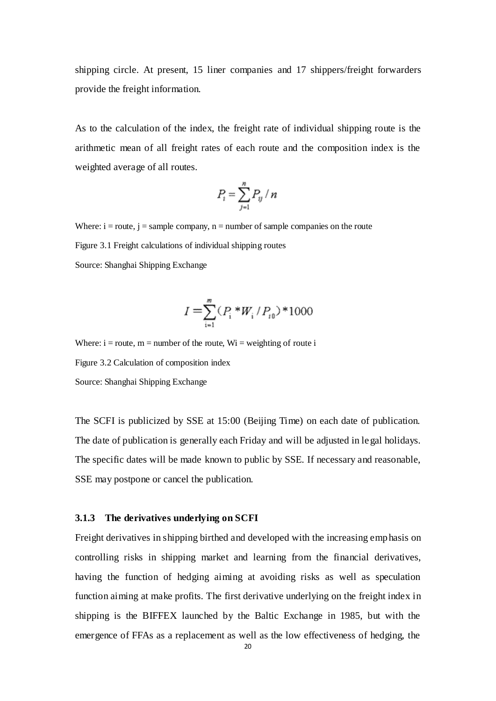shipping circle. At present, 15 liner companies and 17 shippers/freight forwarders provide the freight information.

As to the calculation of the index, the freight rate of individual shipping route is the arithmetic mean of all freight rates of each route and the composition index is the weighted average of all routes.

$$
P_t = \sum_{j=1}^n P_{ij} / n
$$

Where:  $i = route$ ,  $j = sample company$ ,  $n = number of sample companies on the route$ Figure 3.1 Freight calculations of individual shipping routes Source: Shanghai Shipping Exchange

$$
I = \sum_{i=1}^{m} (P_i * W_i / P_{i0}) * 1000
$$

Where:  $i =$  route,  $m =$  number of the route,  $Wi =$  weighting of route i Figure 3.2 Calculation of composition index Source: Shanghai Shipping Exchange

The SCFI is publicized by SSE at 15:00 (Beijing Time) on each date of publication. The date of publication is generally each Friday and will be adjusted in legal holidays. The specific dates will be made known to public by SSE. If necessary and reasonable, SSE may postpone or cancel the publication.

#### <span id="page-28-0"></span>**3.1.3 The derivatives underlying on SCFI**

Freight derivatives in shipping birthed and developed with the increasing emphasis on controlling risks in shipping market and learning from the financial derivatives, having the function of hedging aiming at avoiding risks as well as speculation function aiming at make profits. The first derivative underlying on the freight index in shipping is the BIFFEX launched by the Baltic Exchange in 1985, but with the emergence of FFAs as a replacement as well as the low effectiveness of hedging, the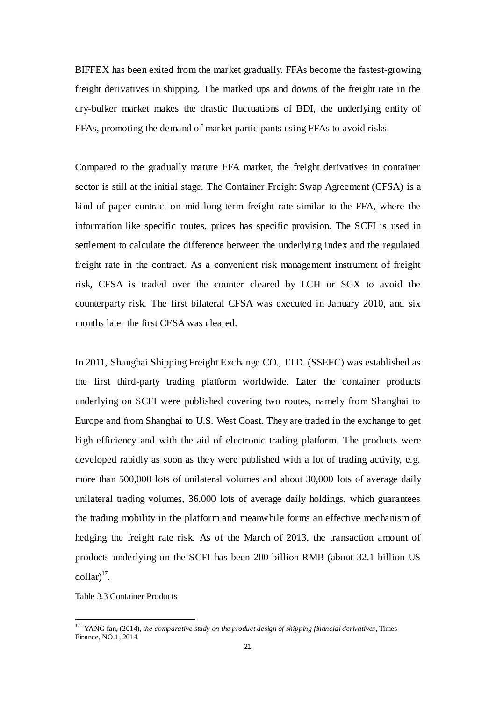BIFFEX has been exited from the market gradually. FFAs become the fastest-growing freight derivatives in shipping. The marked ups and downs of the freight rate in the dry-bulker market makes the drastic fluctuations of BDI, the underlying entity of FFAs, promoting the demand of market participants using FFAs to avoid risks.

Compared to the gradually mature FFA market, the freight derivatives in container sector is still at the initial stage. The Container Freight Swap Agreement (CFSA) is a kind of paper contract on mid-long term freight rate similar to the FFA, where the information like specific routes, prices has specific provision. The SCFI is used in settlement to calculate the difference between the underlying index and the regulated freight rate in the contract. As a convenient risk management instrument of freight risk, CFSA is traded over the counter cleared by LCH or SGX to avoid the counterparty risk. The first bilateral CFSA was executed in January 2010, and six months later the first CFSA was cleared.

In 2011, Shanghai Shipping Freight Exchange CO., LTD. (SSEFC) was established as the first third-party trading platform worldwide. Later the container products underlying on SCFI were published covering two routes, namely from Shanghai to Europe and from Shanghai to U.S. West Coast. They are traded in the exchange to get high efficiency and with the aid of electronic trading platform. The products were developed rapidly as soon as they were published with a lot of trading activity, e.g. more than 500,000 lots of unilateral volumes and about 30,000 lots of average daily unilateral trading volumes, 36,000 lots of average daily holdings, which guarantees the trading mobility in the platform and meanwhile forms an effective mechanism of hedging the freight rate risk. As of the March of 2013, the transaction amount of products underlying on the SCFI has been 200 billion RMB (about 32.1 billion US  $\text{dollar}$ <sup>17</sup>.

Table 3.3 Container Products

 $\overline{a}$ 

<sup>&</sup>lt;sup>17</sup> YANG fan, (2014), *the comparative study on the product design of shipping financial derivatives*, Times Finance, NO.1, 2014.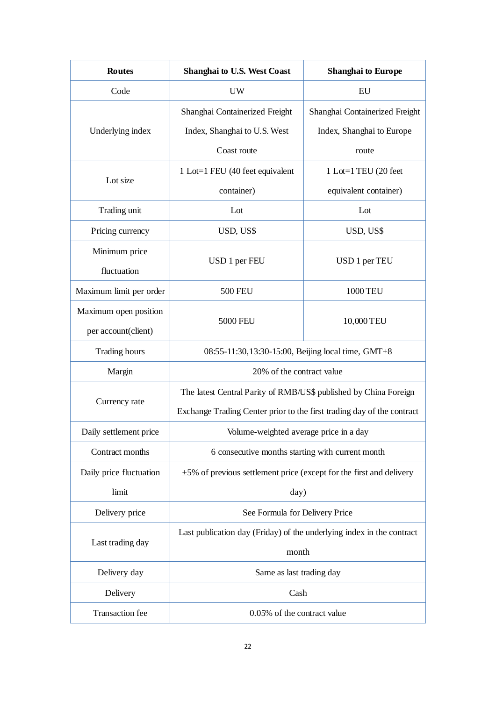| <b>Routes</b>           | <b>Shanghai to U.S. West Coast</b>                                       | <b>Shanghai to Europe</b>      |  |
|-------------------------|--------------------------------------------------------------------------|--------------------------------|--|
| Code                    | <b>UW</b>                                                                | EU                             |  |
|                         | Shanghai Containerized Freight                                           | Shanghai Containerized Freight |  |
| Underlying index        | Index, Shanghai to U.S. West                                             | Index, Shanghai to Europe      |  |
|                         | Coast route                                                              | route                          |  |
| Lot size                | 1 Lot=1 FEU (40 feet equivalent                                          | 1 Lot=1 TEU (20 feet           |  |
|                         | container)                                                               | equivalent container)          |  |
| Trading unit            | Lot                                                                      | Lot                            |  |
| Pricing currency        | USD, US\$                                                                | USD, US\$                      |  |
| Minimum price           |                                                                          |                                |  |
| fluctuation             | USD 1 per FEU                                                            | USD 1 per TEU                  |  |
| Maximum limit per order | <b>500 FEU</b>                                                           | 1000 TEU                       |  |
| Maximum open position   |                                                                          |                                |  |
| per account(client)     | <b>5000 FEU</b>                                                          | 10,000 TEU                     |  |
| <b>Trading hours</b>    | 08:55-11:30,13:30-15:00, Beijing local time, GMT+8                       |                                |  |
| Margin                  | 20% of the contract value                                                |                                |  |
|                         | The latest Central Parity of RMB/US\$ published by China Foreign         |                                |  |
| Currency rate           | Exchange Trading Center prior to the first trading day of the contract   |                                |  |
| Daily settlement price  | Volume-weighted average price in a day                                   |                                |  |
| Contract months         | 6 consecutive months starting with current month                         |                                |  |
| Daily price fluctuation | $\pm$ 5% of previous settlement price (except for the first and delivery |                                |  |
| limit                   | day)                                                                     |                                |  |
| Delivery price          | See Formula for Delivery Price                                           |                                |  |
|                         | Last publication day (Friday) of the underlying index in the contract    |                                |  |
|                         | Last trading day<br>month                                                |                                |  |
| Delivery day            | Same as last trading day                                                 |                                |  |
| Delivery                | Cash                                                                     |                                |  |
| <b>Transaction</b> fee  | 0.05% of the contract value                                              |                                |  |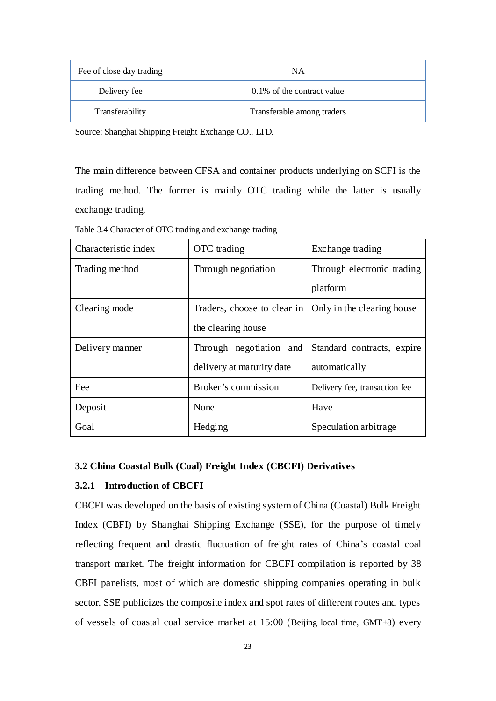| Fee of close day trading | ΝA                         |
|--------------------------|----------------------------|
| Delivery fee             | 0.1% of the contract value |
| Transferability          | Transferable among traders |

Source: Shanghai Shipping Freight Exchange CO., LTD.

The main difference between CFSA and container products underlying on SCFI is the trading method. The former is mainly OTC trading while the latter is usually exchange trading.

| Characteristic index | OTC trading                 | Exchange trading              |
|----------------------|-----------------------------|-------------------------------|
| Trading method       | Through negotiation         | Through electronic trading    |
|                      |                             | platform                      |
| Clearing mode        | Traders, choose to clear in | Only in the clearing house    |
|                      | the clearing house          |                               |
| Delivery manner      | Through negotiation and     | Standard contracts, expire    |
|                      | delivery at maturity date   | automatically                 |
| Fee                  | Broker's commission         | Delivery fee, transaction fee |
| Deposit              | None                        | Have                          |
| Goal                 | Hedging                     | Speculation arbitrage         |

Table 3.4 Character of OTC trading and exchange trading

### <span id="page-31-0"></span>**3.2 China Coastal Bulk (Coal) Freight Index (CBCFI) Derivatives**

### <span id="page-31-1"></span>**3.2.1 Introduction of CBCFI**

CBCFI was developed on the basis of existing system of China (Coastal) Bulk Freight Index (CBFI) by Shanghai Shipping Exchange (SSE), for the purpose of timely reflecting frequent and drastic fluctuation of freight rates of China's coastal coal transport market. The freight information for CBCFI compilation is reported by 38 CBFI panelists, most of which are domestic shipping companies operating in bulk sector. SSE publicizes the composite index and spot rates of different routes and types of vessels of coastal coal service market at 15:00 (Beijing local time, GMT+8) every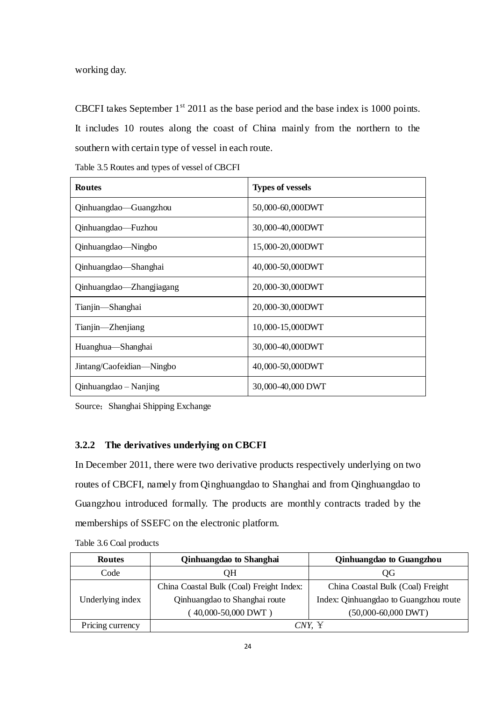working day.

CBCFI takes September  $1<sup>st</sup>$  2011 as the base period and the base index is 1000 points. It includes 10 routes along the coast of China mainly from the northern to the southern with certain type of vessel in each route.

| Table 3.5 Routes and types of vessel of CBCFI |  |  |
|-----------------------------------------------|--|--|
|                                               |  |  |

| <b>Routes</b>             | <b>Types of vessels</b> |
|---------------------------|-------------------------|
| Qinhuangdao—Guangzhou     | 50,000-60,000DWT        |
| Qinhuangdao—Fuzhou        | 30,000-40,000DWT        |
| Qinhuangdao—Ningbo        | 15,000-20,000DWT        |
| Qinhuangdao—Shanghai      | 40,000-50,000DWT        |
| Qinhuangdao—Zhangjiagang  | 20,000-30,000DWT        |
| Tianjin—Shanghai          | 20,000-30,000DWT        |
| Tianjin—Zhenjiang         | 10,000-15,000DWT        |
| Huanghua—Shanghai         | 30,000-40,000DWT        |
| Jintang/Caofeidian—Ningbo | 40,000-50,000DWT        |
| Qinhuangdao – Nanjing     | 30,000-40,000 DWT       |

Source; Shanghai Shipping Exchange

# <span id="page-32-0"></span>**3.2.2 The derivatives underlying on CBCFI**

In December 2011, there were two derivative products respectively underlying on two routes of CBCFI, namely from Qinghuangdao to Shanghai and from Qinghuangdao to Guangzhou introduced formally. The products are monthly contracts traded by the memberships of SSEFC on the electronic platform.

| <b>Routes</b>    | Qinhuangdao to Shanghai                  | Qinhuangdao to Guangzhou              |
|------------------|------------------------------------------|---------------------------------------|
| Code             | OН                                       | OG                                    |
|                  | China Coastal Bulk (Coal) Freight Index: | China Coastal Bulk (Coal) Freight     |
| Underlying index | Qinhuangdao to Shanghai route            | Index: Qinhuangdao to Guangzhou route |
|                  | 40,000-50,000 DWT)                       | $(50,000-60,000$ DWT)                 |
| Pricing currency | CNY. Y                                   |                                       |

Table 3.6 Coal products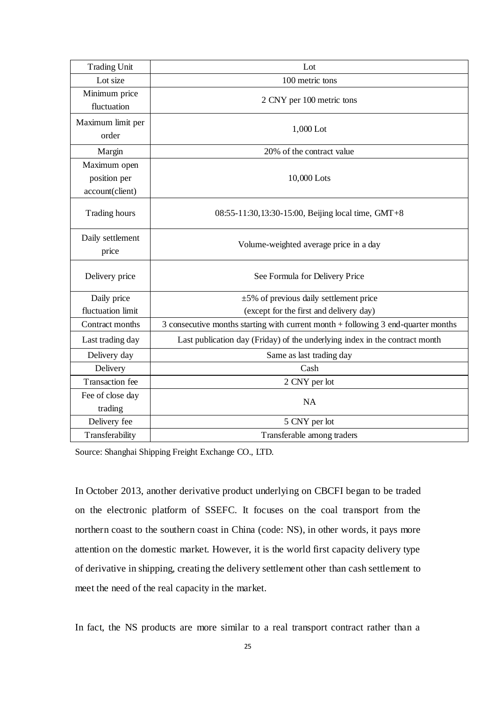| <b>Trading Unit</b>                             | Lot                                                                               |  |  |
|-------------------------------------------------|-----------------------------------------------------------------------------------|--|--|
| Lot size                                        | 100 metric tons                                                                   |  |  |
| Minimum price<br>fluctuation                    | 2 CNY per 100 metric tons                                                         |  |  |
| Maximum limit per<br>order                      | $1,000$ Lot                                                                       |  |  |
| Margin                                          | 20% of the contract value                                                         |  |  |
| Maximum open<br>position per<br>account(client) | 10,000 Lots                                                                       |  |  |
| Trading hours                                   | 08:55-11:30,13:30-15:00, Beijing local time, GMT+8                                |  |  |
| Daily settlement<br>price                       | Volume-weighted average price in a day                                            |  |  |
| Delivery price                                  | See Formula for Delivery Price                                                    |  |  |
| Daily price                                     | $\pm$ 5% of previous daily settlement price                                       |  |  |
| fluctuation limit                               | (except for the first and delivery day)                                           |  |  |
| Contract months                                 | 3 consecutive months starting with current month + following 3 end-quarter months |  |  |
| Last trading day                                | Last publication day (Friday) of the underlying index in the contract month       |  |  |
| Delivery day                                    | Same as last trading day                                                          |  |  |
| Delivery                                        | Cash                                                                              |  |  |
| <b>Transaction</b> fee                          | 2 CNY per lot                                                                     |  |  |
| Fee of close day<br>trading                     | <b>NA</b>                                                                         |  |  |
| Delivery fee                                    | 5 CNY per lot                                                                     |  |  |
| Transferability                                 | Transferable among traders                                                        |  |  |

Source: Shanghai Shipping Freight Exchange CO., LTD.

In October 2013, another derivative product underlying on CBCFI began to be traded on the electronic platform of SSEFC. It focuses on the coal transport from the northern coast to the southern coast in China (code: NS), in other words, it pays more attention on the domestic market. However, it is the world first capacity delivery type of derivative in shipping, creating the delivery settlement other than cash settlement to meet the need of the real capacity in the market.

In fact, the NS products are more similar to a real transport contract rather than a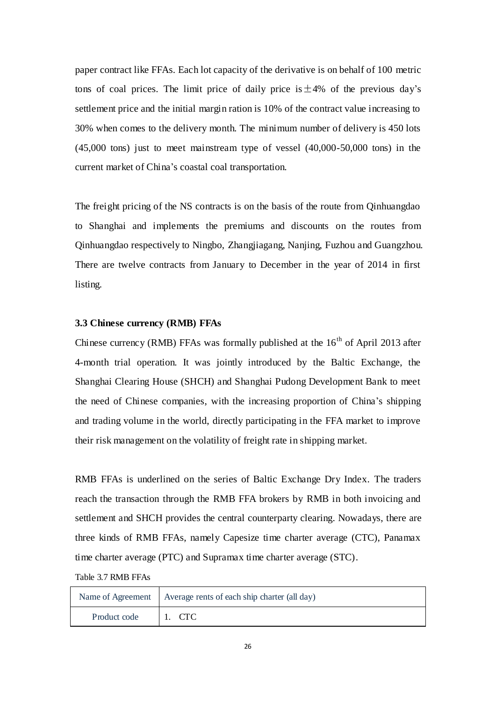paper contract like FFAs. Each lot capacity of the derivative is on behalf of 100 metric tons of coal prices. The limit price of daily price is  $\pm 4\%$  of the previous day's settlement price and the initial margin ration is 10% of the contract value increasing to 30% when comes to the delivery month. The minimum number of delivery is 450 lots (45,000 tons) just to meet mainstream type of vessel (40,000-50,000 tons) in the current market of China's coastal coal transportation.

The freight pricing of the NS contracts is on the basis of the route from Qinhuangdao to Shanghai and implements the premiums and discounts on the routes from Qinhuangdao respectively to Ningbo, Zhangjiagang, Nanjing, Fuzhou and Guangzhou. There are twelve contracts from January to December in the year of 2014 in first listing.

# <span id="page-34-0"></span>**3.3 Chinese currency (RMB) FFAs**

Chinese currency (RMB) FFAs was formally published at the  $16<sup>th</sup>$  of April 2013 after 4-month trial operation. It was jointly introduced by the Baltic Exchange, the Shanghai Clearing House (SHCH) and Shanghai Pudong Development Bank to meet the need of Chinese companies, with the increasing proportion of China's shipping and trading volume in the world, directly participating in the FFA market to improve their risk management on the volatility of freight rate in shipping market.

RMB FFAs is underlined on the series of Baltic Exchange Dry Index. The traders reach the transaction through the RMB FFA brokers by RMB in both invoicing and settlement and SHCH provides the central counterparty clearing. Nowadays, there are three kinds of RMB FFAs, namely Capesize time charter average (CTC), Panamax time charter average (PTC) and Supramax time charter average (STC).

#### Table 3.7 RMB FFAs

|              | Name of Agreement   Average rents of each ship charter (all day) |
|--------------|------------------------------------------------------------------|
| Product code | 11. CTC                                                          |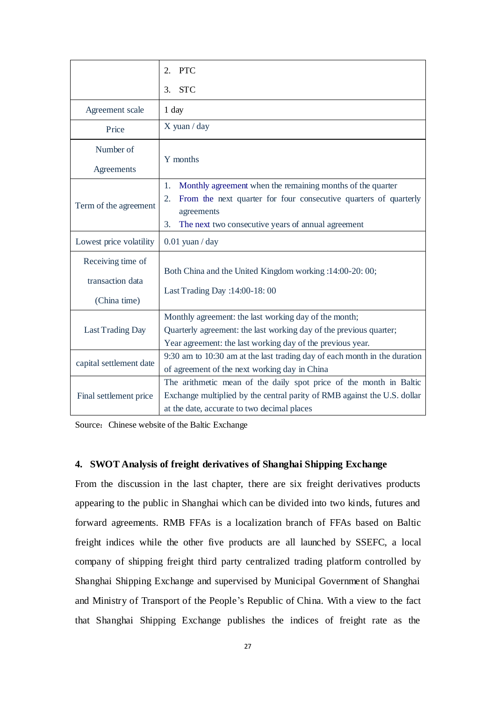|                                                       | <b>PTC</b><br>2.                                                                                                                                                                                                     |  |
|-------------------------------------------------------|----------------------------------------------------------------------------------------------------------------------------------------------------------------------------------------------------------------------|--|
|                                                       | <b>STC</b><br>3.                                                                                                                                                                                                     |  |
| Agreement scale                                       | 1 day                                                                                                                                                                                                                |  |
| Price                                                 | X yuan / day                                                                                                                                                                                                         |  |
| Number of                                             | Y months                                                                                                                                                                                                             |  |
| Agreements                                            |                                                                                                                                                                                                                      |  |
| Term of the agreement                                 | Monthly agreement when the remaining months of the quarter<br>1.<br>From the next quarter for four consecutive quarters of quarterly<br>2.<br>agreements<br>3.<br>The next two consecutive years of annual agreement |  |
| Lowest price volatility                               | $0.01$ yuan / day                                                                                                                                                                                                    |  |
| Receiving time of<br>transaction data<br>(China time) | Both China and the United Kingdom working :14:00-20: 00;<br>Last Trading Day : 14:00-18:00                                                                                                                           |  |
| Last Trading Day                                      | Monthly agreement: the last working day of the month;<br>Quarterly agreement: the last working day of the previous quarter;<br>Year agreement: the last working day of the previous year.                            |  |
| capital settlement date                               | 9:30 am to 10:30 am at the last trading day of each month in the duration<br>of agreement of the next working day in China                                                                                           |  |
| Final settlement price                                | The arithmetic mean of the daily spot price of the month in Baltic<br>Exchange multiplied by the central parity of RMB against the U.S. dollar<br>at the date, accurate to two decimal places                        |  |

Source: Chinese website of the Baltic Exchange

# <span id="page-35-0"></span>**4. SWOT Analysis of freight derivatives of Shanghai Shipping Exchange**

From the discussion in the last chapter, there are six freight derivatives products appearing to the public in Shanghai which can be divided into two kinds, futures and forward agreements. RMB FFAs is a localization branch of FFAs based on Baltic freight indices while the other five products are all launched by SSEFC, a local company of shipping freight third party centralized trading platform controlled by Shanghai Shipping Exchange and supervised by Municipal Government of Shanghai and Ministry of Transport of the People's Republic of China. With a view to the fact that Shanghai Shipping Exchange publishes the indices of freight rate as the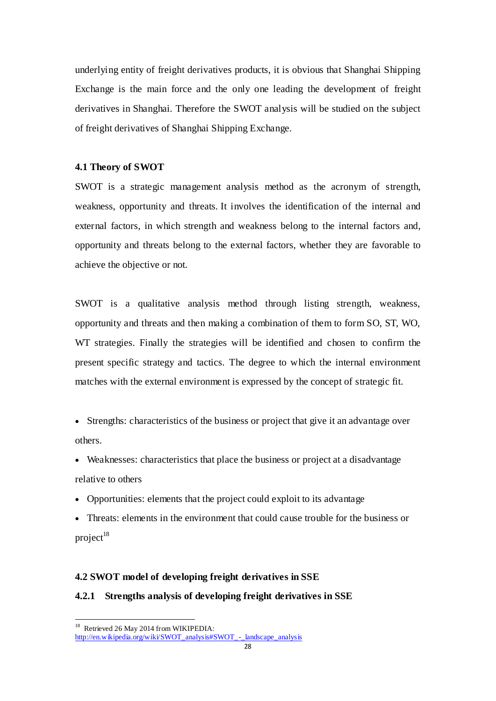underlying entity of freight derivatives products, it is obvious that Shanghai Shipping Exchange is the main force and the only one leading the development of freight derivatives in Shanghai. Therefore the SWOT analysis will be studied on the subject of freight derivatives of Shanghai Shipping Exchange.

### <span id="page-36-0"></span>**4.1 Theory of SWOT**

SWOT is a strategic management analysis method as the acronym of strength, weakness, opportunity and threats. It involves the identification of the internal and external factors, in which strength and weakness belong to the internal factors and, opportunity and threats belong to the external factors, whether they are favorable to achieve the objective or not.

SWOT is a qualitative analysis method through listing strength, weakness, opportunity and threats and then making a combination of them to form SO, ST, WO, WT strategies. Finally the strategies will be identified and chosen to confirm the present specific strategy and tactics. The degree to which the internal environment matches with the external environment is expressed by the concept of [strategic fit.](http://en.wikipedia.org/wiki/Strategic_fit)

 Strengths: characteristics of the business or project that give it an advantage over others.

 Weaknesses: characteristics that place the business or project at a disadvantage relative to others

- Opportunities: elements that the project could exploit to its advantage
- Threats: elements in the environment that could cause trouble for the business or  $project<sup>18</sup>$

#### <span id="page-36-1"></span>**4.2 SWOT model of developing freight derivatives in SSE**

# <span id="page-36-2"></span>**4.2.1 Strengths analysis of developing freight derivatives in SSE**

 $\overline{a}$ 

<sup>&</sup>lt;sup>18</sup> Retrieved 26 May 2014 from WIKIPEDIA:

[http://en.wikipedia.org/wiki/SWOT\\_analysis#SWOT\\_-\\_landscape\\_analysis](http://en.wikipedia.org/wiki/SWOT_analysis#SWOT_-_landscape_analysis)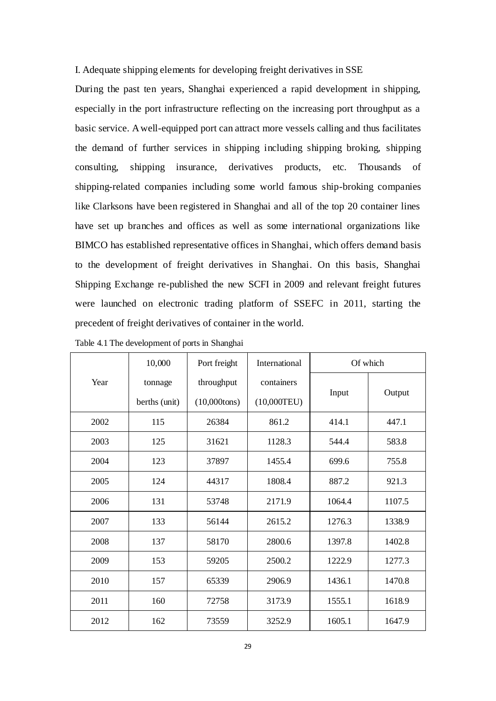I. Adequate shipping elements for developing freight derivatives in SSE

During the past ten years, Shanghai experienced a rapid development in shipping, especially in the port infrastructure reflecting on the increasing port throughput as a basic service. Awell-equipped port can attract more vessels calling and thus facilitates the demand of further services in shipping including shipping broking, shipping consulting, shipping insurance, derivatives products, etc. Thousands of shipping-related companies including some world famous ship-broking companies like Clarksons have been registered in Shanghai and all of the top 20 container lines have set up branches and offices as well as some international organizations like BIMCO has established representative offices in Shanghai, which offers demand basis to the development of freight derivatives in Shanghai. On this basis, Shanghai Shipping Exchange re-published the new SCFI in 2009 and relevant freight futures were launched on electronic trading platform of SSEFC in 2011, starting the precedent of freight derivatives of container in the world.

|      | 10,000        | Port freight    | International | Of which |        |
|------|---------------|-----------------|---------------|----------|--------|
| Year | tonnage       | throughput      | containers    |          |        |
|      | berths (unit) | $(10,000$ tons) | (10,000TEU)   | Input    | Output |
| 2002 | 115           | 26384           | 861.2         | 414.1    | 447.1  |
| 2003 | 125           | 31621           | 1128.3        | 544.4    | 583.8  |
| 2004 | 123           | 37897           | 1455.4        | 699.6    | 755.8  |
| 2005 | 124           | 44317           | 1808.4        | 887.2    | 921.3  |
| 2006 | 131           | 53748           | 2171.9        | 1064.4   | 1107.5 |
| 2007 | 133           | 56144           | 2615.2        | 1276.3   | 1338.9 |
| 2008 | 137           | 58170           | 2800.6        | 1397.8   | 1402.8 |
| 2009 | 153           | 59205           | 2500.2        | 1222.9   | 1277.3 |
| 2010 | 157           | 65339           | 2906.9        | 1436.1   | 1470.8 |
| 2011 | 160           | 72758           | 3173.9        | 1555.1   | 1618.9 |
| 2012 | 162           | 73559           | 3252.9        | 1605.1   | 1647.9 |

Table 4.1 The development of ports in Shanghai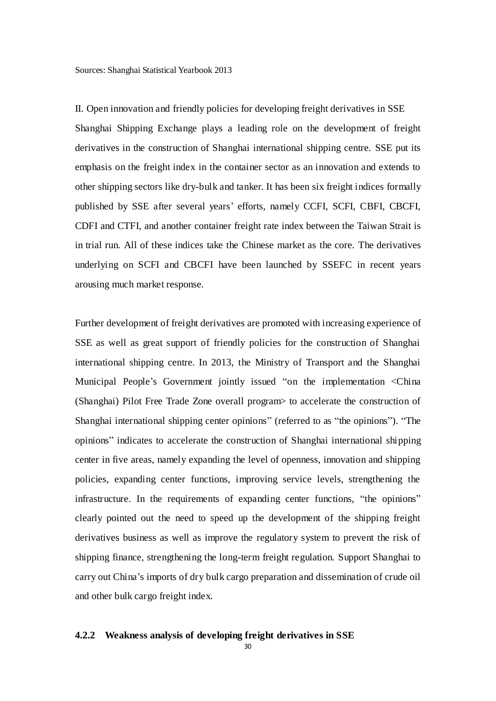II. Open innovation and friendly policies for developing freight derivatives in SSE Shanghai Shipping Exchange plays a leading role on the development of freight derivatives in the construction of Shanghai international shipping centre. SSE put its emphasis on the freight index in the container sector as an innovation and extends to other shipping sectors like dry-bulk and tanker. It has been six freight indices formally published by SSE after several years' efforts, namely CCFI, SCFI, CBFI, CBCFI, CDFI and CTFI, and another container freight rate index between the Taiwan Strait is in trial run. All of these indices take the Chinese market as the core. The derivatives underlying on SCFI and CBCFI have been launched by SSEFC in recent years arousing much market response.

Further development of freight derivatives are promoted with increasing experience of SSE as well as great support of friendly policies for the construction of Shanghai international shipping centre. In 2013, the Ministry of Transport and the Shanghai Municipal People's Government jointly issued "on the implementation <China (Shanghai) Pilot Free Trade Zone overall program> to accelerate the construction of Shanghai international shipping center opinions" (referred to as "the opinions"). "The opinions‖ indicates to accelerate the construction of Shanghai international shipping center in five areas, namely expanding the level of openness, innovation and shipping policies, expanding center functions, improving service levels, strengthening the infrastructure. In the requirements of expanding center functions, "the opinions" clearly pointed out the need to speed up the development of the shipping freight derivatives business as well as improve the regulatory system to prevent the risk of shipping finance, strengthening the long-term freight regulation. Support Shanghai to carry out China's imports of dry bulk cargo preparation and dissemination of crude oil and other bulk cargo freight index.

#### <span id="page-38-0"></span>**4.2.2 Weakness analysis of developing freight derivatives in SSE**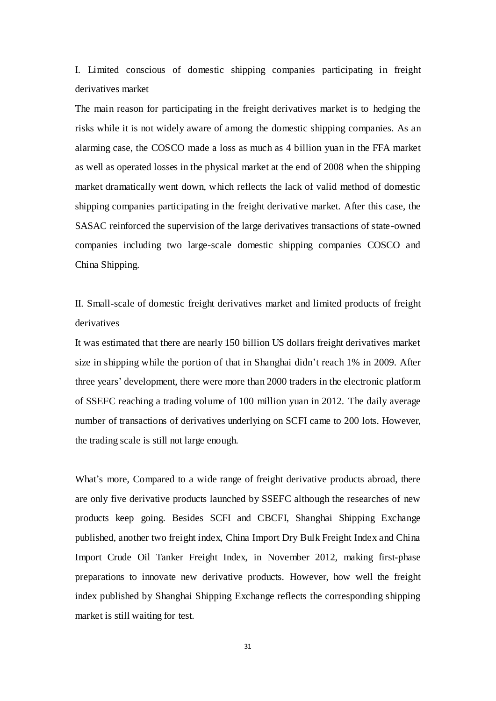I. Limited conscious of domestic shipping companies participating in freight derivatives market

The main reason for participating in the freight derivatives market is to hedging the risks while it is not widely aware of among the domestic shipping companies. As an alarming case, the COSCO made a loss as much as 4 billion yuan in the FFA market as well as operated losses in the physical market at the end of 2008 when the shipping market dramatically went down, which reflects the lack of valid method of domestic shipping companies participating in the freight derivative market. After this case, the SASAC reinforced the supervision of the large derivatives transactions of state-owned companies including two large-scale domestic shipping companies COSCO and China Shipping.

II. Small-scale of domestic freight derivatives market and limited products of freight derivatives

It was estimated that there are nearly 150 billion US dollars freight derivatives market size in shipping while the portion of that in Shanghai didn't reach 1% in 2009. After three years' development, there were more than 2000 traders in the electronic platform of SSEFC reaching a trading volume of 100 million yuan in 2012. The daily average number of transactions of derivatives underlying on SCFI came to 200 lots. However, the trading scale is still not large enough.

What's more, Compared to a wide range of freight derivative products abroad, there are only five derivative products launched by SSEFC although the researches of new products keep going. Besides SCFI and CBCFI, Shanghai Shipping Exchange published, another two freight index, China Import Dry Bulk Freight Index and China Import Crude Oil Tanker Freight Index, in November 2012, making first-phase preparations to innovate new derivative products. However, how well the freight index published by Shanghai Shipping Exchange reflects the corresponding shipping market is still waiting for test.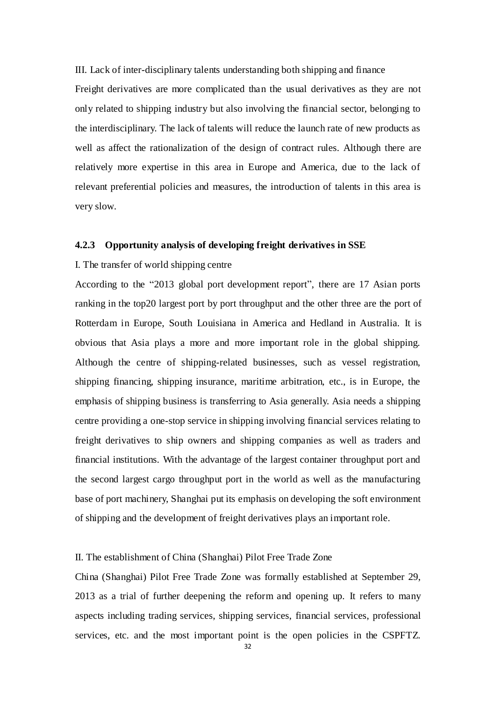III. Lack of inter-disciplinary talents understanding both shipping and finance

Freight derivatives are more complicated than the usual derivatives as they are not only related to shipping industry but also involving the financial sector, belonging to the interdisciplinary. The lack of talents will reduce the launch rate of new products as well as affect the rationalization of the design of contract rules. Although there are relatively more expertise in this area in Europe and America, due to the lack of relevant preferential policies and measures, the introduction of talents in this area is very slow.

#### <span id="page-40-0"></span>**4.2.3 Opportunity analysis of developing freight derivatives in SSE**

### I. The transfer of world shipping centre

According to the "2013 global port development report", there are 17 Asian ports ranking in the top20 largest port by port throughput and the other three are the port of Rotterdam in Europe, South Louisiana in America and Hedland in Australia. It is obvious that Asia plays a more and more important role in the global shipping. Although the centre of shipping-related businesses, such as vessel registration, shipping financing, shipping insurance, maritime arbitration, etc., is in Europe, the emphasis of shipping business is transferring to Asia generally. Asia needs a shipping centre providing a one-stop service in shipping involving financial services relating to freight derivatives to ship owners and shipping companies as well as traders and financial institutions. With the advantage of the largest container throughput port and the second largest cargo throughput port in the world as well as the manufacturing base of port machinery, Shanghai put its emphasis on developing the soft environment of shipping and the development of freight derivatives plays an important role.

#### II. The establishment of China (Shanghai) Pilot Free Trade Zone

China (Shanghai) Pilot Free Trade Zone was formally established at September 29, 2013 as a trial of further deepening the reform and opening up. It refers to many aspects including trading services, shipping services, financial services, professional services, etc. and the most important point is the open policies in the CSPFTZ.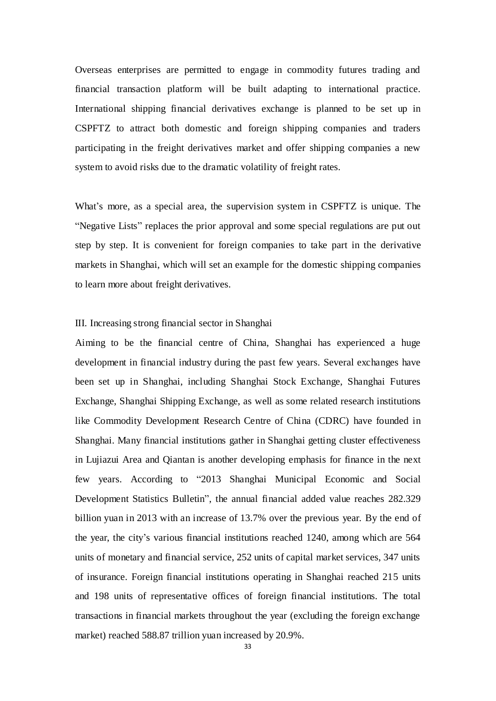Overseas enterprises are permitted to engage in commodity futures trading and financial transaction platform will be built adapting to international practice. International shipping financial derivatives exchange is planned to be set up in CSPFTZ to attract both domestic and foreign shipping companies and traders participating in the freight derivatives market and offer shipping companies a new system to avoid risks due to the dramatic volatility of freight rates.

What's more, as a special area, the supervision system in CSPFTZ is unique. The "Negative Lists" replaces the prior approval and some special regulations are put out step by step. It is convenient for foreign companies to take part in the derivative markets in Shanghai, which will set an example for the domestic shipping companies to learn more about freight derivatives.

# III. Increasing strong financial sector in Shanghai

Aiming to be the financial centre of China, Shanghai has experienced a huge development in financial industry during the past few years. Several exchanges have been set up in Shanghai, including Shanghai Stock Exchange, Shanghai Futures Exchange, Shanghai Shipping Exchange, as well as some related research institutions like Commodity Development Research Centre of China (CDRC) have founded in Shanghai. Many financial institutions gather in Shanghai getting cluster effectiveness in Lujiazui Area and Qiantan is another developing emphasis for finance in the next few years. According to "2013 Shanghai Municipal Economic and Social Development Statistics Bulletin", the annual financial added value reaches 282.329 billion yuan in 2013 with an increase of 13.7% over the previous year. By the end of the year, the city's various financial institutions reached 1240, among which are 564 units of monetary and financial service, 252 units of capital market services, 347 units of insurance. Foreign financial institutions operating in Shanghai reached 215 units and 198 units of representative offices of foreign financial institutions. The total transactions in financial markets throughout the year (excluding the foreign exchange market) reached 588.87 trillion yuan increased by 20.9%.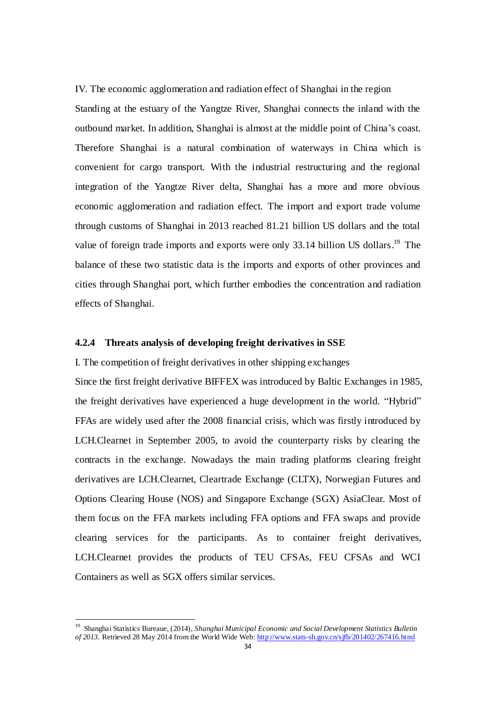IV. The economic agglomeration and radiation effect of Shanghai in the region Standing at the estuary of the Yangtze River, Shanghai connects the inland with the outbound market. In addition, Shanghai is almost at the middle point of China's coast. Therefore Shanghai is a natural combination of waterways in China which is convenient for cargo transport. With the industrial restructuring and the regional integration of the Yangtze River delta, Shanghai has a more and more obvious economic agglomeration and radiation effect. The import and export trade volume through customs of Shanghai in 2013 reached 81.21 billion US dollars and the total value of foreign trade imports and exports were only 33.14 billion US dollars.<sup>19</sup> The balance of these two statistic data is the imports and exports of other provinces and cities through Shanghai port, which further embodies the concentration and radiation effects of Shanghai.

# <span id="page-42-0"></span>**4.2.4 Threats analysis of developing freight derivatives in SSE**

I. The competition of freight derivatives in other shipping exchanges Since the first freight derivative BIFFEX was introduced by Baltic Exchanges in 1985, the freight derivatives have experienced a huge development in the world. "Hybrid" FFAs are widely used after the 2008 financial crisis, which was firstly introduced by LCH.Clearnet in September 2005, to avoid the counterparty risks by clearing the contracts in the exchange. Nowadays the main trading platforms clearing freight derivatives are LCH.Clearnet, Cleartrade Exchange (CLTX), Norwegian Futures and Options Clearing House (NOS) and Singapore Exchange (SGX) AsiaClear. Most of them focus on the FFA markets including FFA options and FFA swaps and provide clearing services for the participants. As to container freight derivatives, LCH.Clearnet provides the products of TEU CFSAs, FEU CFSAs and WCI Containers as well as SGX offers similar services.

 $\overline{a}$ 

<sup>19</sup> Shanghai Statistics Bureaue, (2014), *Shanghai Municipal Economic and Social Development Statistics Bulletin of 2013.* Retrieved 28 May 2014 from the World Wide Web[: http://www.stats-sh.gov.cn/sjfb/201402/267416.html](http://www.stats-sh.gov.cn/sjfb/201402/267416.html)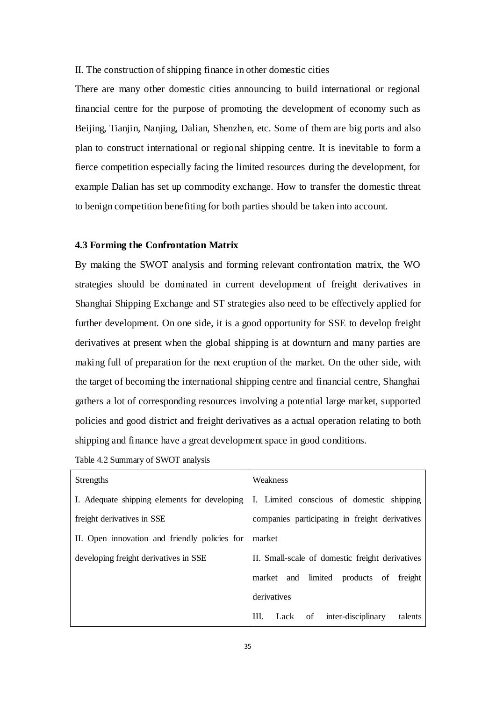II. The construction of shipping finance in other domestic cities

There are many other domestic cities announcing to build international or regional financial centre for the purpose of promoting the development of economy such as Beijing, Tianjin, Nanjing, Dalian, Shenzhen, etc. Some of them are big ports and also plan to construct international or regional shipping centre. It is inevitable to form a fierce competition especially facing the limited resources during the development, for example Dalian has set up commodity exchange. How to transfer the domestic threat to benign competition benefiting for both parties should be taken into account.

#### <span id="page-43-0"></span>**4.3 Forming the Confrontation Matrix**

By making the SWOT analysis and forming relevant confrontation matrix, the WO strategies should be dominated in current development of freight derivatives in Shanghai Shipping Exchange and ST strategies also need to be effectively applied for further development. On one side, it is a good opportunity for SSE to develop freight derivatives at present when the global shipping is at downturn and many parties are making full of preparation for the next eruption of the market. On the other side, with the target of becoming the international shipping centre and financial centre, Shanghai gathers a lot of corresponding resources involving a potential large market, supported policies and good district and freight derivatives as a actual operation relating to both shipping and finance have a great development space in good conditions.

| Table 4.2 Summary of SWOT analysis |  |
|------------------------------------|--|
|                                    |  |

| <b>Strengths</b>                              | Weakness                                         |  |
|-----------------------------------------------|--------------------------------------------------|--|
| I. Adequate shipping elements for developing  | I. Limited conscious of domestic shipping        |  |
| freight derivatives in SSE                    | companies participating in freight derivatives   |  |
| II. Open innovation and friendly policies for | market                                           |  |
| developing freight derivatives in SSE         | II. Small-scale of domestic freight derivatives  |  |
|                                               | market and limited products of<br>freight        |  |
|                                               | derivatives                                      |  |
|                                               | inter-disciplinary<br>III.<br>Lack of<br>talents |  |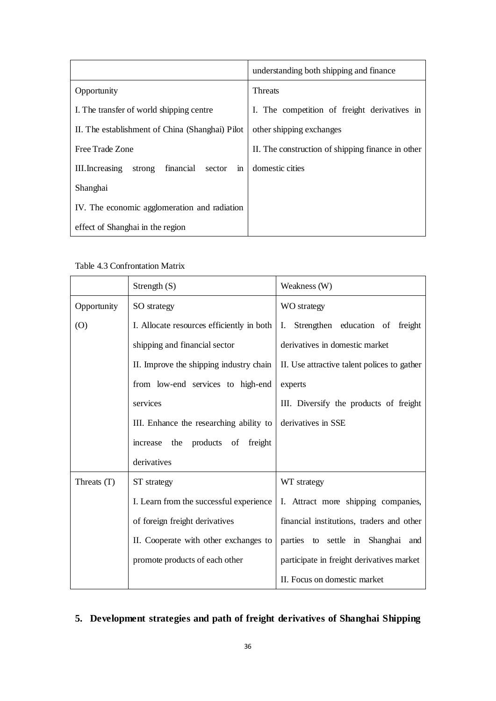|                                                        | understanding both shipping and finance           |
|--------------------------------------------------------|---------------------------------------------------|
| Opportunity                                            | <b>Threats</b>                                    |
| I. The transfer of world shipping centre               | I. The competition of freight derivatives in      |
| II. The establishment of China (Shanghai) Pilot        | other shipping exchanges                          |
| Free Trade Zone                                        | II. The construction of shipping finance in other |
| financial<br>strong<br>III. Increasing<br>sector<br>in | domestic cities                                   |
| Shanghai                                               |                                                   |
| IV. The economic agglomeration and radiation           |                                                   |
| effect of Shanghai in the region                       |                                                   |

Table 4.3 Confrontation Matrix

|             | Strength $(S)$                            | Weakness (W)                                |
|-------------|-------------------------------------------|---------------------------------------------|
| Opportunity | SO strategy                               | WO strategy                                 |
| (0)         | I. Allocate resources efficiently in both | I. Strengthen education of freight          |
|             | shipping and financial sector             | derivatives in domestic market              |
|             | II. Improve the shipping industry chain   | II. Use attractive talent polices to gather |
|             | from low-end services to high-end         | experts                                     |
|             | services                                  | III. Diversify the products of freight      |
|             | III. Enhance the researching ability to   | derivatives in SSE                          |
|             | increase the products of freight          |                                             |
|             | derivatives                               |                                             |
| Threats (T) | ST strategy                               | WT strategy                                 |
|             | I. Learn from the successful experience   | I. Attract more shipping companies,         |
|             | of foreign freight derivatives            | financial institutions, traders and other   |
|             | II. Cooperate with other exchanges to     | parties to settle in Shanghai and           |
|             | promote products of each other            | participate in freight derivatives market   |
|             |                                           | II. Focus on domestic market                |

# <span id="page-44-0"></span>**5. Development strategies and path of freight derivatives of Shanghai Shipping**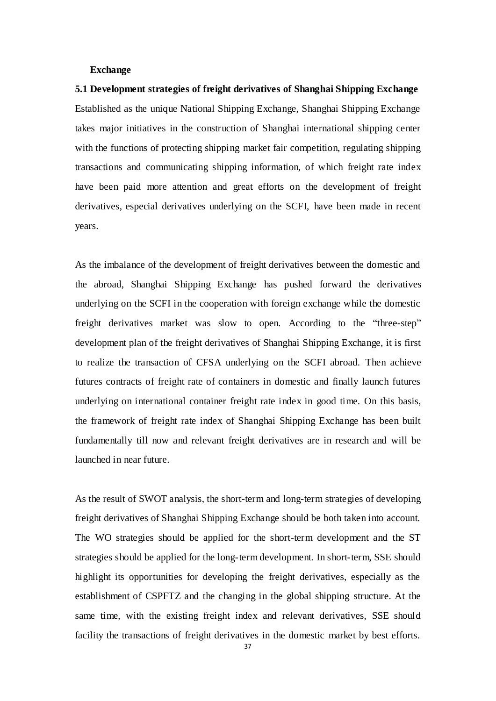#### **Exchange**

<span id="page-45-0"></span>**5.1 Development strategies of freight derivatives of Shanghai Shipping Exchange** Established as the unique National Shipping Exchange, Shanghai Shipping Exchange takes major initiatives in the construction of Shanghai international shipping center with the functions of protecting shipping market fair competition, regulating shipping transactions and communicating shipping information, of which freight rate index have been paid more attention and great efforts on the development of freight derivatives, especial derivatives underlying on the SCFI, have been made in recent years.

As the imbalance of the development of freight derivatives between the domestic and the abroad, Shanghai Shipping Exchange has pushed forward the derivatives underlying on the SCFI in the cooperation with foreign exchange while the domestic freight derivatives market was slow to open. According to the "three-step" development plan of the freight derivatives of Shanghai Shipping Exchange, it is first to realize the transaction of CFSA underlying on the SCFI abroad. Then achieve futures contracts of freight rate of containers in domestic and finally launch futures underlying on international container freight rate index in good time. On this basis, the framework of freight rate index of Shanghai Shipping Exchange has been built fundamentally till now and relevant freight derivatives are in research and will be launched in near future.

As the result of SWOT analysis, the short-term and long-term strategies of developing freight derivatives of Shanghai Shipping Exchange should be both taken into account. The WO strategies should be applied for the short-term development and the ST strategies should be applied for the long-term development. In short-term, SSE should highlight its opportunities for developing the freight derivatives, especially as the establishment of CSPFTZ and the changing in the global shipping structure. At the same time, with the existing freight index and relevant derivatives, SSE should facility the transactions of freight derivatives in the domestic market by best efforts.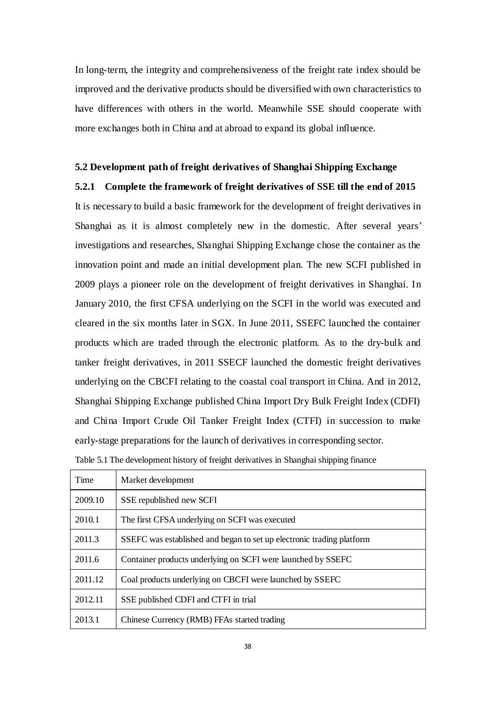In long-term, the integrity and comprehensiveness of the freight rate index should be improved and the derivative products should be diversified with own characteristics to have differences with others in the world. Meanwhile SSE should cooperate with more exchanges both in China and at abroad to expand its global influence.

#### <span id="page-46-0"></span>**5.2 Development path of freight derivatives of Shanghai Shipping Exchange**

### <span id="page-46-1"></span>**5.2.1 Complete the framework of freight derivatives of SSE till the end of 2015**

It is necessary to build a basic framework for the development of freight derivatives in Shanghai as it is almost completely new in the domestic. After several years' investigations and researches, Shanghai Shipping Exchange chose the container as the innovation point and made an initial development plan. The new SCFI published in 2009 plays a pioneer role on the development of freight derivatives in Shanghai. In January 2010, the first CFSA underlying on the SCFI in the world was executed and cleared in the six months later in SGX. In June 2011, SSEFC launched the container products which are traded through the electronic platform. As to the dry-bulk and tanker freight derivatives, in 2011 SSECF launched the domestic freight derivatives underlying on the CBCFI relating to the coastal coal transport in China. And in 2012, Shanghai Shipping Exchange published China Import Dry Bulk Freight Index (CDFI) and China Import Crude Oil Tanker Freight Index (CTFI) in succession to make early-stage preparations for the launch of derivatives in corresponding sector.

| Table 5.1 The development history of freight derivatives in Shanghai shipping finance |  |
|---------------------------------------------------------------------------------------|--|
|                                                                                       |  |

| Time    | Market development                                                    |
|---------|-----------------------------------------------------------------------|
| 2009.10 | SSE republished new SCFI                                              |
| 2010.1  | The first CFSA underlying on SCFI was executed                        |
| 2011.3  | SSEFC was established and began to set up electronic trading platform |
| 2011.6  | Container products underlying on SCFI were launched by SSEFC          |
| 2011.12 | Coal products underlying on CBCFI were launched by SSEFC              |
| 2012.11 | SSE published CDFI and CTFI in trial                                  |
| 2013.1  | Chinese Currency (RMB) FFAs started trading                           |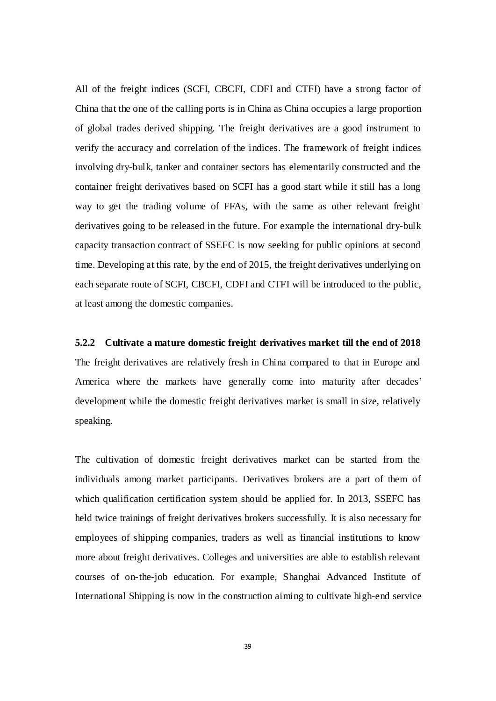All of the freight indices (SCFI, CBCFI, CDFI and CTFI) have a strong factor of China that the one of the calling ports is in China as China occupies a large proportion of global trades derived shipping. The freight derivatives are a good instrument to verify the accuracy and correlation of the indices. The framework of freight indices involving dry-bulk, tanker and container sectors has elementarily constructed and the container freight derivatives based on SCFI has a good start while it still has a long way to get the trading volume of FFAs, with the same as other relevant freight derivatives going to be released in the future. For example the international dry-bulk capacity transaction contract of SSEFC is now seeking for public opinions at second time. Developing at this rate, by the end of 2015, the freight derivatives underlying on each separate route of SCFI, CBCFI, CDFI and CTFI will be introduced to the public, at least among the domestic companies.

<span id="page-47-0"></span>**5.2.2 Cultivate a mature domestic freight derivatives market till the end of 2018** The freight derivatives are relatively fresh in China compared to that in Europe and America where the markets have generally come into maturity after decades' development while the domestic freight derivatives market is small in size, relatively speaking.

The cultivation of domestic freight derivatives market can be started from the individuals among market participants. Derivatives brokers are a part of them of which qualification certification system should be applied for. In 2013, SSEFC has held twice trainings of freight derivatives brokers successfully. It is also necessary for employees of shipping companies, traders as well as financial institutions to know more about freight derivatives. Colleges and universities are able to establish relevant courses of on-the-job education. For example, Shanghai Advanced Institute of International Shipping is now in the construction aiming to cultivate high-end service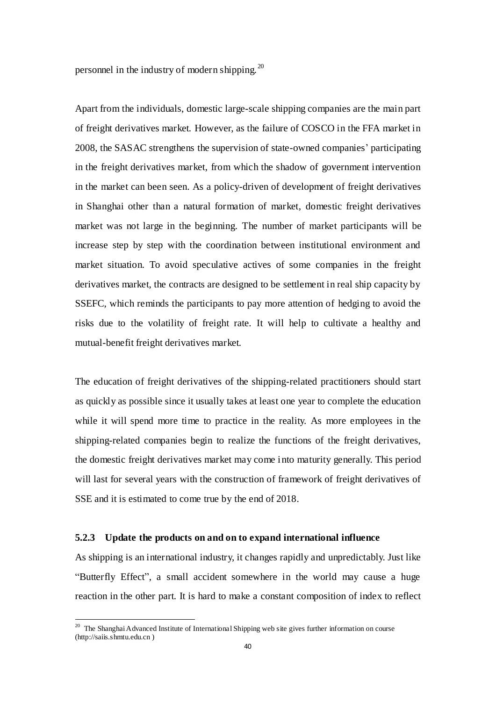personnel in the industry of modern shipping.  $^{20}$ 

Apart from the individuals, domestic large-scale shipping companies are the main part of freight derivatives market. However, as the failure of COSCO in the FFA market in 2008, the SASAC strengthens the supervision of state-owned companies' participating in the freight derivatives market, from which the shadow of government intervention in the market can been seen. As a policy-driven of development of freight derivatives in Shanghai other than a natural formation of market, domestic freight derivatives market was not large in the beginning. The number of market participants will be increase step by step with the coordination between institutional environment and market situation. To avoid speculative actives of some companies in the freight derivatives market, the contracts are designed to be settlement in real ship capacity by SSEFC, which reminds the participants to pay more attention of hedging to avoid the risks due to the volatility of freight rate. It will help to cultivate a healthy and mutual-benefit freight derivatives market.

The education of freight derivatives of the shipping-related practitioners should start as quickly as possible since it usually takes at least one year to complete the education while it will spend more time to practice in the reality. As more employees in the shipping-related companies begin to realize the functions of the freight derivatives, the domestic freight derivatives market may come into maturity generally. This period will last for several years with the construction of framework of freight derivatives of SSE and it is estimated to come true by the end of 2018.

### <span id="page-48-0"></span>**5.2.3 Update the products on and on to expand international influence**

As shipping is an international industry, it changes rapidly and unpredictably. Just like ―Butterfly Effect‖, a small accident somewhere in the world may cause a huge reaction in the other part. It is hard to make a constant composition of index to reflect

 $\overline{a}$ 

<sup>&</sup>lt;sup>20</sup> The Shanghai Advanced Institute of International Shipping web site gives further information on course (http://saiis.shmtu.edu.cn )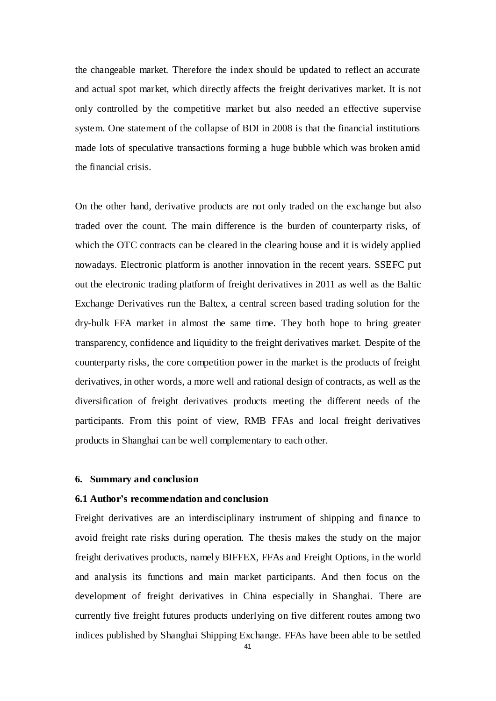the changeable market. Therefore the index should be updated to reflect an accurate and actual spot market, which directly affects the freight derivatives market. It is not only controlled by the competitive market but also needed an effective supervise system. One statement of the collapse of BDI in 2008 is that the financial institutions made lots of speculative transactions forming a huge bubble which was broken amid the financial crisis.

On the other hand, derivative products are not only traded on the exchange but also traded over the count. The main difference is the burden of counterparty risks, of which the OTC contracts can be cleared in the clearing house and it is widely applied nowadays. Electronic platform is another innovation in the recent years. SSEFC put out the electronic trading platform of freight derivatives in 2011 as well as the Baltic Exchange Derivatives run the Baltex, a central screen based trading solution for the dry-bulk FFA market in almost the same time. They both hope to bring greater transparency, confidence and liquidity to the freight derivatives market. Despite of the counterparty risks, the core competition power in the market is the products of freight derivatives, in other words, a more well and rational design of contracts, as well as the diversification of freight derivatives products meeting the different needs of the participants. From this point of view, RMB FFAs and local freight derivatives products in Shanghai can be well complementary to each other.

#### <span id="page-49-0"></span>**6. Summary and conclusion**

#### <span id="page-49-1"></span>**6.1 Author's recommendation and conclusion**

Freight derivatives are an interdisciplinary instrument of shipping and finance to avoid freight rate risks during operation. The thesis makes the study on the major freight derivatives products, namely BIFFEX, FFAs and Freight Options, in the world and analysis its functions and main market participants. And then focus on the development of freight derivatives in China especially in Shanghai. There are currently five freight futures products underlying on five different routes among two indices published by Shanghai Shipping Exchange. FFAs have been able to be settled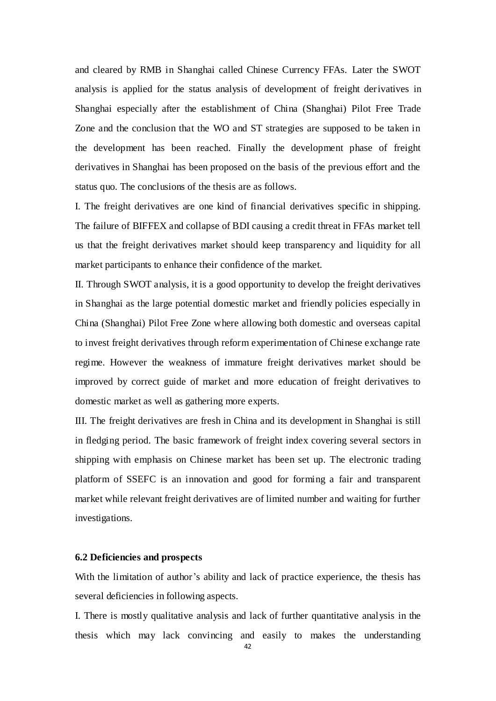and cleared by RMB in Shanghai called Chinese Currency FFAs. Later the SWOT analysis is applied for the status analysis of development of freight derivatives in Shanghai especially after the establishment of China (Shanghai) Pilot Free Trade Zone and the conclusion that the WO and ST strategies are supposed to be taken in the development has been reached. Finally the development phase of freight derivatives in Shanghai has been proposed on the basis of the previous effort and the status quo. The conclusions of the thesis are as follows.

I. The freight derivatives are one kind of financial derivatives specific in shipping. The failure of BIFFEX and collapse of BDI causing a credit threat in FFAs market tell us that the freight derivatives market should keep transparency and liquidity for all market participants to enhance their confidence of the market.

II. Through SWOT analysis, it is a good opportunity to develop the freight derivatives in Shanghai as the large potential domestic market and friendly policies especially in China (Shanghai) Pilot Free Zone where allowing both domestic and overseas capital to invest freight derivatives through reform experimentation of Chinese exchange rate regime. However the weakness of immature freight derivatives market should be improved by correct guide of market and more education of freight derivatives to domestic market as well as gathering more experts.

III. The freight derivatives are fresh in China and its development in Shanghai is still in fledging period. The basic framework of freight index covering several sectors in shipping with emphasis on Chinese market has been set up. The electronic trading platform of SSEFC is an innovation and good for forming a fair and transparent market while relevant freight derivatives are of limited number and waiting for further investigations.

#### <span id="page-50-0"></span>**6.2 Deficiencies and prospects**

With the limitation of author's ability and lack of practice experience, the thesis has several deficiencies in following aspects.

I. There is mostly qualitative analysis and lack of further quantitative analysis in the thesis which may lack convincing and easily to makes the understanding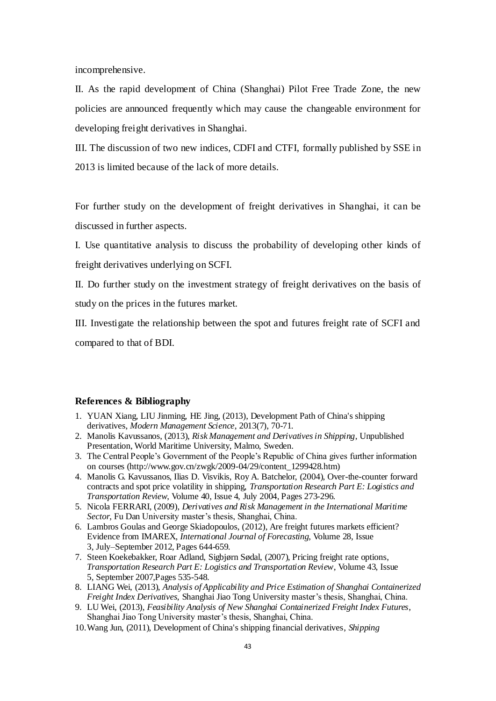incomprehensive.

II. As the rapid development of China (Shanghai) Pilot Free Trade Zone, the new policies are announced frequently which may cause the changeable environment for developing freight derivatives in Shanghai.

III. The discussion of two new indices, CDFI and CTFI, formally published by SSE in 2013 is limited because of the lack of more details.

For further study on the development of freight derivatives in Shanghai, it can be discussed in further aspects.

I. Use quantitative analysis to discuss the probability of developing other kinds of freight derivatives underlying on SCFI.

II. Do further study on the investment strategy of freight derivatives on the basis of study on the prices in the futures market.

III. Investigate the relationship between the spot and futures freight rate of SCFI and compared to that of BDI.

#### <span id="page-51-0"></span>**References & Bibliography**

- 1. YUAN Xiang, LIU Jinming, HE Jing, (2013), Development Path of China's shipping derivatives, *Modern Management Science*, 2013(7), 70-71.
- 2. Manolis Kavussanos, (2013), *Risk Management and Derivatives in Shipping*, Unpublished Presentation, World Maritime University, Malmo, Sweden.
- 3. The Central People's Government of the People's Republic of China gives further information on courses (http://www.gov.cn/zwgk/2009-04/29/content\_1299428.htm)
- 4. Manolis G. Kavussanos, Ilias D. Visvikis, Roy A. Batchelor, (2004), Over-the-counter forward contracts and spot price volatility in shipping, *Transportation Research Part E: Logistics and Transportation Review*, Volume 40, Issue 4, July 2004, Pages 273-296.
- 5. Nicola FERRARI, (2009), *Derivatives and Risk Management in the International Maritime Sector*, Fu Dan University master's thesis, Shanghai, China.
- 6. Lambros Goulas and George Skiadopoulos, (2012)[, Are freight futures markets efficient?](http://www.sciencedirect.com/science/article/pii/S0169207012000039)  [Evidence from IMAREX,](http://www.sciencedirect.com/science/article/pii/S0169207012000039) *International Journal of Forecasting*, Volume 28, Issue 3, July–September 2012, Pages 644-659.
- 7. Steen Koekebakker, Roar Adland, Sigbjørn Sødal, (2007)[, Pricing freight rate options,](http://www.sciencedirect.com/science/article/pii/S1366554506000342) *Transportation Research Part E: Logistics and Transportation Review*, Volume 43, Issue 5, September 2007,Pages 535-548.
- 8. LIANG Wei, (2013), *Analysis of Applicability and Price Estimation of Shanghai Containerized Freight Index Derivatives*, Shanghai Jiao Tong University master's thesis, Shanghai, China.
- 9. LU Wei, (2013), *Feasibility Analysis of New Shanghai Containerized Freight Index Futures*, Shanghai Jiao Tong University master's thesis, Shanghai, China.
- 10.Wang Jun, (2011), Development of China's shipping financial derivatives, *Shipping*